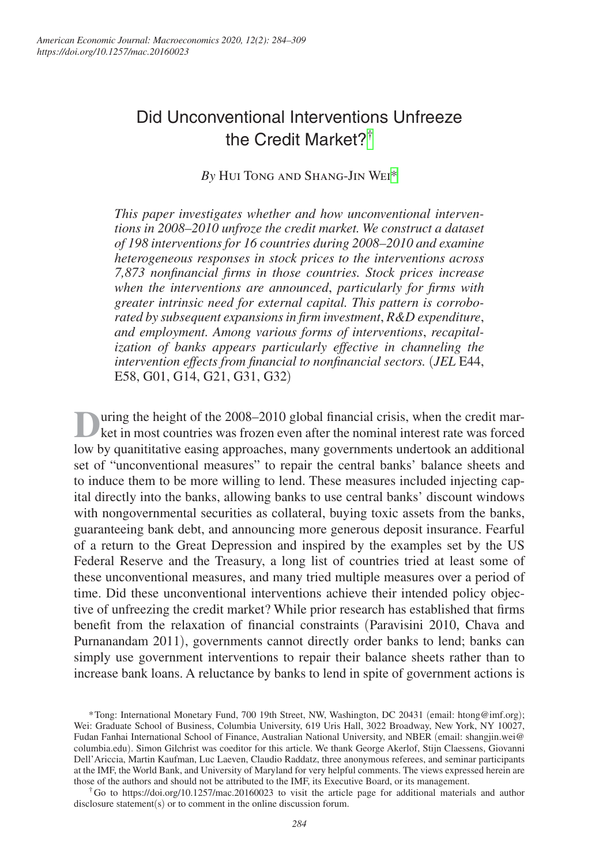# Did Unconventional Interventions Unfreeze the Credit Market?[†](#page-0-0)

### *By* Hui Tong and Shang-Jin We[i\\*](#page-0-1)

*This paper investigates whether and how unconventional interventions in 2008–2010 unfroze the credit market. We construct a dataset of 198 interventions for 16 countries during 2008–2010 and examine heterogeneous responses in stock prices to the interventions across 7,873 nonfinancial firms in those countries. Stock prices increase when the interventions are announced*, *particularly for firms with greater intrinsic need for external capital. This pattern is corroborated by subsequent expansions in firm investment*, *R&D expenditure*, *and employment. Among various forms of interventions*, *recapitalization of banks appears particularly effective in channeling the intervention effects from financial to nonfinancial sectors.* (*JEL* E44, E58, G01, G14, G21, G31, G32)

**D**uring the height of the 2008–2010 global financial crisis, when the credit mar-<br>ket in most countries was frozen even after the nominal interest rate was forced low by quanititative easing approaches, many governments undertook an additional set of "unconventional measures" to repair the central banks' balance sheets and to induce them to be more willing to lend. These measures included injecting capital directly into the banks, allowing banks to use central banks' discount windows with nongovernmental securities as collateral, buying toxic assets from the banks, guaranteeing bank debt, and announcing more generous deposit insurance. Fearful of a return to the Great Depression and inspired by the examples set by the US Federal Reserve and the Treasury, a long list of countries tried at least some of these unconventional measures, and many tried multiple measures over a period of time. Did these unconventional interventions achieve their intended policy objective of unfreezing the credit market? While prior research has established that firms benefit from the relaxation of financial constraints (Paravisini 2010, Chava and Purnanandam 2011), governments cannot directly order banks to lend; banks can simply use government interventions to repair their balance sheets rather than to increase bank loans. A reluctance by banks to lend in spite of government actions is

<span id="page-0-0"></span>†Go to <https://doi.org/10.1257/mac.20160023> to visit the article page for additional materials and author disclosure statement(s) or to comment in the online discussion forum.

<span id="page-0-1"></span><sup>\*</sup>Tong: International Monetary Fund, 700 19th Street, NW, Washington, DC 20431 (email: [htong@imf.org](mailto:htong@imf.org)); Wei: Graduate School of Business, Columbia University, 619 Uris Hall, 3022 Broadway, New York, NY 10027, Fudan Fanhai International School of Finance, Australian National University, and NBER (email: [shangjin.wei@](mailto:shangjin.wei@columbia.edu) [columbia.edu](mailto:shangjin.wei@columbia.edu)). Simon Gilchrist was coeditor for this article. We thank George Akerlof, Stijn Claessens, Giovanni Dell'Ariccia, Martin Kaufman, Luc Laeven, Claudio Raddatz, three anonymous referees, and seminar participants at the IMF, the World Bank, and University of Maryland for very helpful comments. The views expressed herein are those of the authors and should not be attributed to the IMF, its Executive Board, or its management.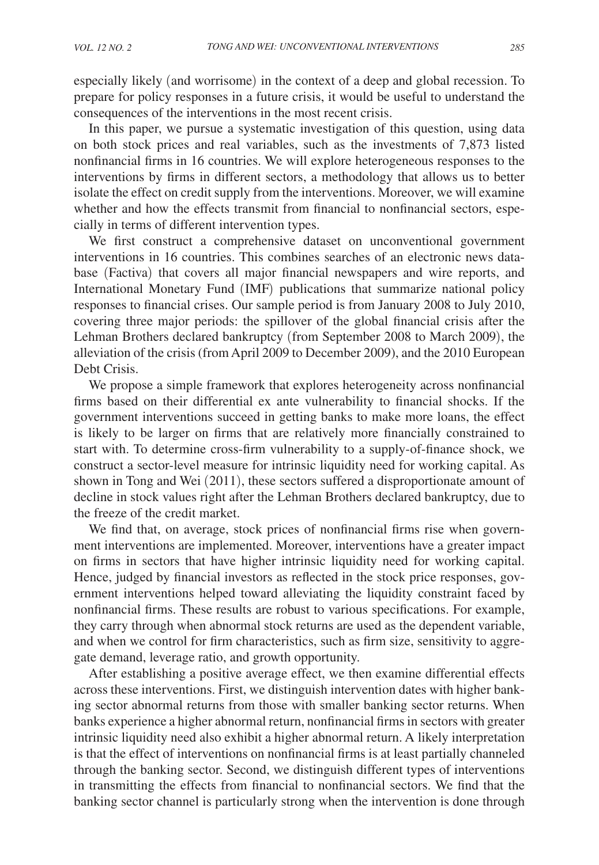especially likely (and worrisome) in the context of a deep and global recession. To prepare for policy responses in a future crisis, it would be useful to understand the consequences of the interventions in the most recent crisis.

In this paper, we pursue a systematic investigation of this question, using data on both stock prices and real variables, such as the investments of 7,873 listed nonfinancial firms in 16 countries. We will explore heterogeneous responses to the interventions by firms in different sectors, a methodology that allows us to better isolate the effect on credit supply from the interventions. Moreover, we will examine whether and how the effects transmit from financial to nonfinancial sectors, especially in terms of different intervention types.

We first construct a comprehensive dataset on unconventional government interventions in 16 countries. This combines searches of an electronic news database (Factiva) that covers all major financial newspapers and wire reports, and International Monetary Fund (IMF) publications that summarize national policy responses to financial crises. Our sample period is from January 2008 to July 2010, covering three major periods: the spillover of the global financial crisis after the Lehman Brothers declared bankruptcy (from September 2008 to March 2009), the alleviation of the crisis (from April 2009 to December 2009), and the 2010 European Debt Crisis.

We propose a simple framework that explores heterogeneity across nonfinancial firms based on their differential ex ante vulnerability to financial shocks. If the government interventions succeed in getting banks to make more loans, the effect is likely to be larger on firms that are relatively more financially constrained to start with. To determine cross-firm vulnerability to a supply-of-finance shock, we construct a sector-level measure for intrinsic liquidity need for working capital. As shown in Tong and Wei (2011), these sectors suffered a disproportionate amount of decline in stock values right after the Lehman Brothers declared bankruptcy, due to the freeze of the credit market.

We find that, on average, stock prices of nonfinancial firms rise when government interventions are implemented. Moreover, interventions have a greater impact on firms in sectors that have higher intrinsic liquidity need for working capital. Hence, judged by financial investors as reflected in the stock price responses, government interventions helped toward alleviating the liquidity constraint faced by nonfinancial firms. These results are robust to various specifications. For example, they carry through when abnormal stock returns are used as the dependent variable, and when we control for firm characteristics, such as firm size, sensitivity to aggregate demand, leverage ratio, and growth opportunity.

After establishing a positive average effect, we then examine differential effects across these interventions. First, we distinguish intervention dates with higher banking sector abnormal returns from those with smaller banking sector returns. When banks experience a higher abnormal return, nonfinancial firms in sectors with greater intrinsic liquidity need also exhibit a higher abnormal return. A likely interpretation is that the effect of interventions on nonfinancial firms is at least partially channeled through the banking sector. Second, we distinguish different types of interventions in transmitting the effects from financial to nonfinancial sectors. We find that the banking sector channel is particularly strong when the intervention is done through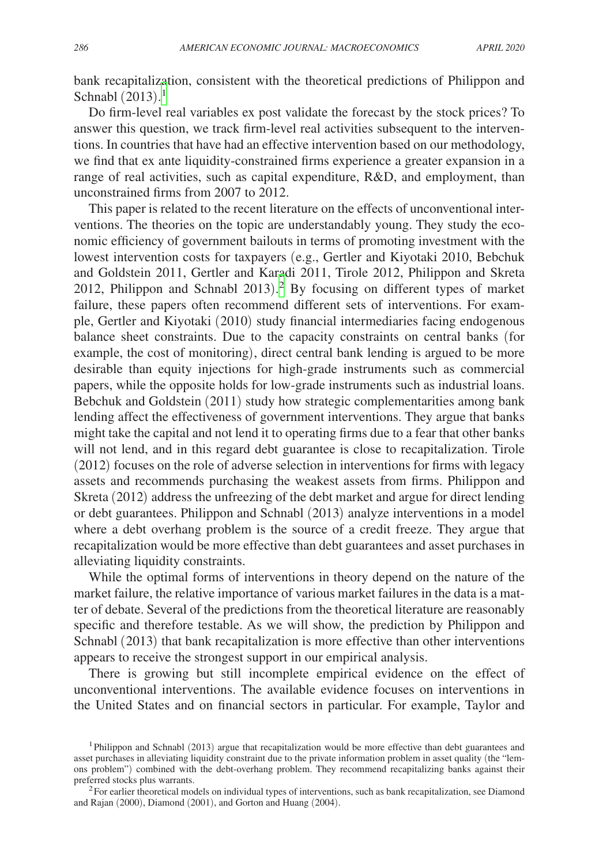bank recapitalization, consistent with the theoretical predictions of Philippon and Schnabl  $(2013).<sup>1</sup>$  $(2013).<sup>1</sup>$  $(2013).<sup>1</sup>$ 

Do firm-level real variables ex post validate the forecast by the stock prices? To answer this question, we track firm-level real activities subsequent to the interventions. In countries that have had an effective intervention based on our methodology, we find that ex ante liquidity-constrained firms experience a greater expansion in a range of real activities, such as capital expenditure, R&D, and employment, than unconstrained firms from 2007 to 2012.

This paper is related to the recent literature on the effects of unconventional interventions. The theories on the topic are understandably young. They study the economic efficiency of government bailouts in terms of promoting investment with the lowest intervention costs for taxpayers (e.g., Gertler and Kiyotaki 2010, Bebchuk and Goldstein 2011, Gertler and Karadi 2011, Tirole 2012, Philippon and Skreta 2012, Philippon and Schnabl 2013). [2](#page-2-1) By focusing on different types of market failure, these papers often recommend different sets of interventions. For example, Gertler and Kiyotaki (2010) study financial intermediaries facing endogenous balance sheet constraints. Due to the capacity constraints on central banks (for example, the cost of monitoring), direct central bank lending is argued to be more desirable than equity injections for high-grade instruments such as commercial papers, while the opposite holds for low-grade instruments such as industrial loans. Bebchuk and Goldstein (2011) study how strategic complementarities among bank lending affect the effectiveness of government interventions. They argue that banks might take the capital and not lend it to operating firms due to a fear that other banks will not lend, and in this regard debt guarantee is close to recapitalization. Tirole (2012) focuses on the role of adverse selection in interventions for firms with legacy assets and recommends purchasing the weakest assets from firms. Philippon and Skreta (2012) address the unfreezing of the debt market and argue for direct lending or debt guarantees. Philippon and Schnabl (2013) analyze interventions in a model where a debt overhang problem is the source of a credit freeze. They argue that recapitalization would be more effective than debt guarantees and asset purchases in alleviating liquidity constraints.

While the optimal forms of interventions in theory depend on the nature of the market failure, the relative importance of various market failures in the data is a matter of debate. Several of the predictions from the theoretical literature are reasonably specific and therefore testable. As we will show, the prediction by Philippon and Schnabl (2013) that bank recapitalization is more effective than other interventions appears to receive the strongest support in our empirical analysis.

There is growing but still incomplete empirical evidence on the effect of unconventional interventions. The available evidence focuses on interventions in the United States and on financial sectors in particular. For example, Taylor and

<span id="page-2-0"></span><sup>&</sup>lt;sup>1</sup>Philippon and Schnabl (2013) argue that recapitalization would be more effective than debt guarantees and asset purchases in alleviating liquidity constraint due to the private information problem in asset quality (the "lemons problem") combined with the debt-overhang problem. They recommend recapitalizing banks against their preferred stocks plus warrants.

<span id="page-2-1"></span> $<sup>2</sup>$  For earlier theoretical models on individual types of interventions, such as bank recapitalization, see Diamond</sup> and Rajan (2000), Diamond (2001), and Gorton and Huang (2004).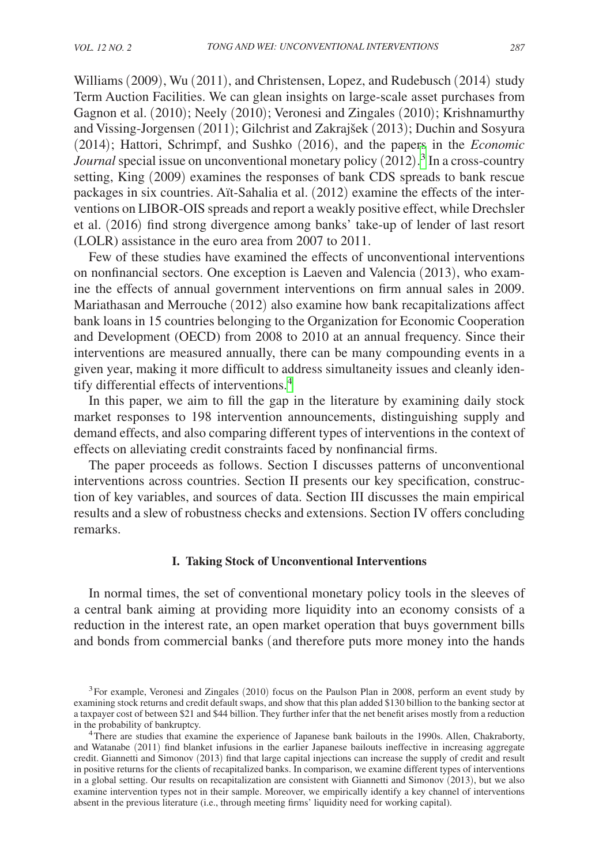Williams (2009), Wu (2011), and Christensen, Lopez, and Rudebusch (2014) study Term Auction Facilities. We can glean insights on large-scale asset purchases from Gagnon et al. (2010); Neely (2010); Veronesi and Zingales (2010); Krishnamurthy and Vissing-Jorgensen (2011); Gilchrist and Zakrajšek (2013); Duchin and Sosyura (2014); Hattori, Schrimpf, and Sushko (2016), and the papers in the *Economic*  Journal special issue on unconventional monetary policy (2012).<sup>[3](#page-3-0)</sup> In a cross-country setting, King (2009) examines the responses of bank CDS spreads to bank rescue packages in six countries. Aït-Sahalia et al. (2012) examine the effects of the interventions on LIBOR-OIS spreads and report a weakly positive effect, while Drechsler et al. (2016) find strong divergence among banks' take-up of lender of last resort (LOLR) assistance in the euro area from 2007 to 2011.

Few of these studies have examined the effects of unconventional interventions on nonfinancial sectors. One exception is Laeven and Valencia (2013), who examine the effects of annual government interventions on firm annual sales in 2009. Mariathasan and Merrouche (2012) also examine how bank recapitalizations affect bank loans in 15 countries belonging to the Organization for Economic Cooperation and Development (OECD) from 2008 to 2010 at an annual frequency. Since their interventions are measured annually, there can be many compounding events in a given year, making it more difficult to address simultaneity issues and cleanly iden-tify differential effects of interventions.<sup>[4](#page-3-1)</sup>

In this paper, we aim to fill the gap in the literature by examining daily stock market responses to 198 intervention announcements, distinguishing supply and demand effects, and also comparing different types of interventions in the context of effects on alleviating credit constraints faced by nonfinancial firms.

The paper proceeds as follows. Section I discusses patterns of unconventional interventions across countries. Section II presents our key specification, construction of key variables, and sources of data. Section III discusses the main empirical results and a slew of robustness checks and extensions. Section IV offers concluding remarks.

#### **I. Taking Stock of Unconventional Interventions**

In normal times, the set of conventional monetary policy tools in the sleeves of a central bank aiming at providing more liquidity into an economy consists of a reduction in the interest rate, an open market operation that buys government bills and bonds from commercial banks (and therefore puts more money into the hands

<span id="page-3-0"></span><sup>&</sup>lt;sup>3</sup>For example, Veronesi and Zingales (2010) focus on the Paulson Plan in 2008, perform an event study by examining stock returns and credit default swaps, and show that this plan added \$130 billion to the banking sector at a taxpayer cost of between \$21 and \$44 billion. They further infer that the net benefit arises mostly from a reduction in the probability of bankruptcy. 4There are studies that examine the experience of Japanese bank bailouts in the 1990s. Allen, Chakraborty,

<span id="page-3-1"></span>and Watanabe (2011) find blanket infusions in the earlier Japanese bailouts ineffective in increasing aggregate credit. Giannetti and Simonov (2013) find that large capital injections can increase the supply of credit and result in positive returns for the clients of recapitalized banks. In comparison, we examine different types of interventions in a global setting. Our results on recapitalization are consistent with Giannetti and Simonov (2013), but we also examine intervention types not in their sample. Moreover, we empirically identify a key channel of interventions absent in the previous literature (i.e., through meeting firms' liquidity need for working capital).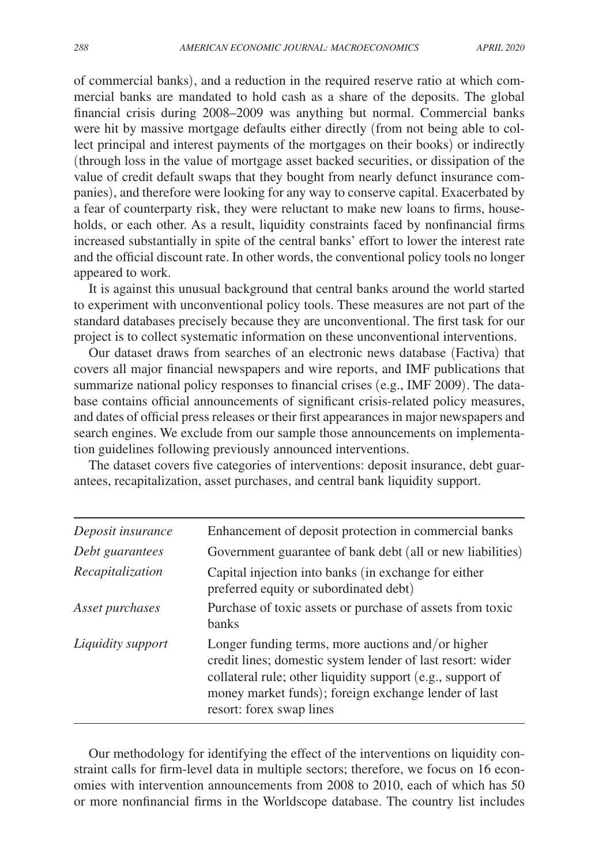of commercial banks), and a reduction in the required reserve ratio at which commercial banks are mandated to hold cash as a share of the deposits. The global financial crisis during 2008–2009 was anything but normal. Commercial banks were hit by massive mortgage defaults either directly (from not being able to collect principal and interest payments of the mortgages on their books) or indirectly (through loss in the value of mortgage asset backed securities, or dissipation of the value of credit default swaps that they bought from nearly defunct insurance companies), and therefore were looking for any way to conserve capital. Exacerbated by a fear of counterparty risk, they were reluctant to make new loans to firms, households, or each other. As a result, liquidity constraints faced by nonfinancial firms increased substantially in spite of the central banks' effort to lower the interest rate and the official discount rate. In other words, the conventional policy tools no longer appeared to work.

It is against this unusual background that central banks around the world started to experiment with unconventional policy tools. These measures are not part of the standard databases precisely because they are unconventional. The first task for our project is to collect systematic information on these unconventional interventions.

Our dataset draws from searches of an electronic news database (Factiva) that covers all major financial newspapers and wire reports, and IMF publications that summarize national policy responses to financial crises (e.g., IMF 2009). The database contains official announcements of significant crisis-related policy measures, and dates of official press releases or their first appearances in major newspapers and search engines. We exclude from our sample those announcements on implementation guidelines following previously announced interventions.

The dataset covers five categories of interventions: deposit insurance, debt guarantees, recapitalization, asset purchases, and central bank liquidity support.

| Deposit insurance | Enhancement of deposit protection in commercial banks                                                                                                                                                                                                             |
|-------------------|-------------------------------------------------------------------------------------------------------------------------------------------------------------------------------------------------------------------------------------------------------------------|
| Debt guarantees   | Government guarantee of bank debt (all or new liabilities)                                                                                                                                                                                                        |
| Recapitalization  | Capital injection into banks (in exchange for either<br>preferred equity or subordinated debt)                                                                                                                                                                    |
| Asset purchases   | Purchase of toxic assets or purchase of assets from toxic<br><b>banks</b>                                                                                                                                                                                         |
| Liquidity support | Longer funding terms, more auctions and/or higher<br>credit lines; domestic system lender of last resort: wider<br>collateral rule; other liquidity support (e.g., support of<br>money market funds); foreign exchange lender of last<br>resort: forex swap lines |

Our methodology for identifying the effect of the interventions on liquidity constraint calls for firm-level data in multiple sectors; therefore, we focus on 16 economies with intervention announcements from 2008 to 2010, each of which has 50 or more nonfinancial firms in the Worldscope database. The country list includes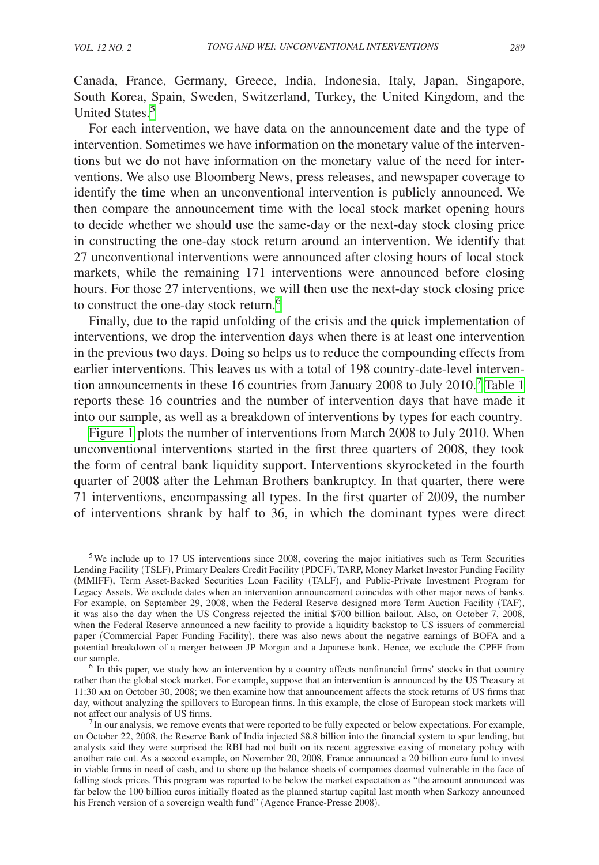Canada, France, Germany, Greece, India, Indonesia, Italy, Japan, Singapore, South Korea, Spain, Sweden, Switzerland, Turkey, the United Kingdom, and the United States.[5](#page-5-0)

For each intervention, we have data on the announcement date and the type of intervention. Sometimes we have information on the monetary value of the interventions but we do not have information on the monetary value of the need for interventions. We also use Bloomberg News, press releases, and newspaper coverage to identify the time when an unconventional intervention is publicly announced. We then compare the announcement time with the local stock market opening hours to decide whether we should use the same-day or the next-day stock closing price in constructing the one-day stock return around an intervention. We identify that 27 unconventional interventions were announced after closing hours of local stock markets, while the remaining 171 interventions were announced before closing hours. For those 27 interventions, we will then use the next-day stock closing price to construct the one-day stock return.<sup>[6](#page-5-1)</sup>

Finally, due to the rapid unfolding of the crisis and the quick implementation of interventions, we drop the intervention days when there is at least one intervention in the previous two days. Doing so helps us to reduce the compounding effects from earlier interventions. This leaves us with a total of 198 country-date-level intervention announcements in these 16 countries from January 2008 to July 2010.[7](#page-5-2) [Table](#page-6-0) 1 reports these 16 countries and the number of intervention days that have made it into our sample, as well as a breakdown of interventions by types for each country.

[Figure 1](#page-6-0) plots the number of interventions from March 2008 to July 2010. When unconventional interventions started in the first three quarters of 2008, they took the form of central bank liquidity support. Interventions skyrocketed in the fourth quarter of 2008 after the Lehman Brothers bankruptcy. In that quarter, there were 71 interventions, encompassing all types. In the first quarter of 2009, the number of interventions shrank by half to 36, in which the dominant types were direct

<span id="page-5-1"></span>rather than the global stock market. For example, suppose that an intervention is announced by the US Treasury at 11:30 am on October 30, 2008; we then examine how that announcement affects the stock returns of US firms that day, without analyzing the spillovers to European firms. In this example, the close of European stock markets will not affect our analysis of US firms.<br><sup>7</sup>In our analysis, we remove events that were reported to be fully expected or below expectations. For example,

<span id="page-5-2"></span>on October 22, 2008, the Reserve Bank of India injected \$8.8 billion into the financial system to spur lending, but analysts said they were surprised the RBI had not built on its recent aggressive easing of monetary policy with another rate cut. As a second example, on November 20, 2008, France announced a 20 billion euro fund to invest in viable firms in need of cash, and to shore up the balance sheets of companies deemed vulnerable in the face of falling stock prices. This program was reported to be below the market expectation as "the amount announced was far below the 100 billion euros initially floated as the planned startup capital last month when Sarkozy announced his French version of a sovereign wealth fund" (Agence France-Presse 2008).

<span id="page-5-0"></span><sup>&</sup>lt;sup>5</sup>We include up to 17 US interventions since 2008, covering the major initiatives such as Term Securities Lending Facility (TSLF), Primary Dealers Credit Facility (PDCF), TARP, Money Market Investor Funding Facility (MMIFF), Term Asset-Backed Securities Loan Facility (TALF), and Public-Private Investment Program for Legacy Assets. We exclude dates when an intervention announcement coincides with other major news of banks. For example, on September 29, 2008, when the Federal Reserve designed more Term Auction Facility (TAF), it was also the day when the US Congress rejected the initial \$700 billion bailout. Also, on October 7, 2008, when the Federal Reserve announced a new facility to provide a liquidity backstop to US issuers of commercial paper (Commercial Paper Funding Facility), there was also news about the negative earnings of BOFA and a potential breakdown of a merger between JP Morgan and a Japanese bank. Hence, we exclude the CPFF from our sample. 6 In this paper, we study how an intervention by a country affects nonfinancial firms' stocks in that country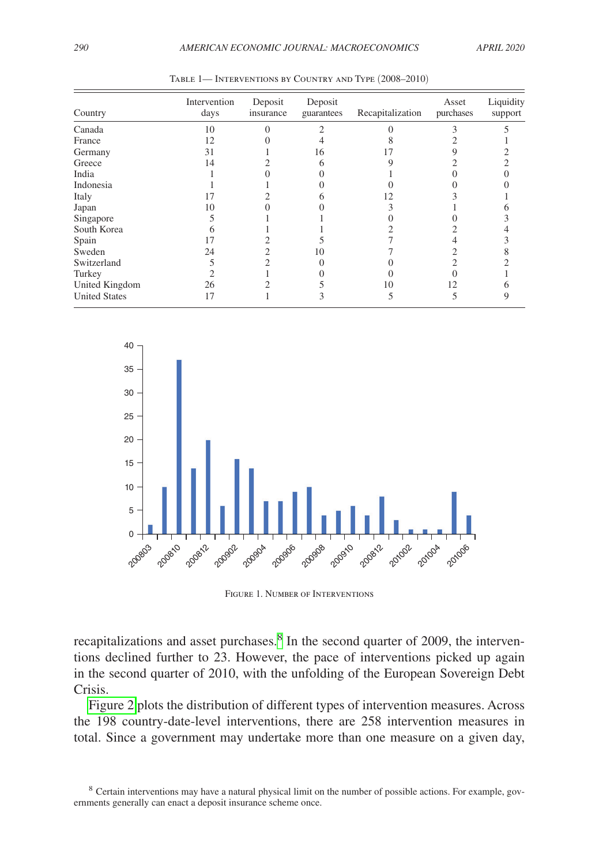<span id="page-6-0"></span>

| Country              | Intervention<br>days | Deposit<br>insurance | Deposit<br>guarantees | Recapitalization | Asset<br>purchases | Liquidity<br>support |
|----------------------|----------------------|----------------------|-----------------------|------------------|--------------------|----------------------|
| Canada               | 10                   |                      |                       |                  |                    |                      |
| France               | 12                   |                      |                       |                  |                    |                      |
| Germany              | 31                   |                      | 16                    |                  |                    |                      |
| Greece               | 14                   |                      |                       |                  |                    |                      |
| India                |                      |                      |                       |                  |                    |                      |
| Indonesia            |                      |                      |                       |                  |                    |                      |
| Italy                |                      |                      |                       |                  |                    |                      |
| Japan                | 10                   |                      |                       |                  |                    |                      |
| Singapore            |                      |                      |                       |                  |                    |                      |
| South Korea          |                      |                      |                       |                  |                    |                      |
| Spain                | 17                   |                      |                       |                  |                    |                      |
| Sweden               | 24                   |                      | 10                    |                  |                    |                      |
| Switzerland          |                      |                      |                       |                  |                    |                      |
| Turkey               |                      |                      |                       |                  |                    |                      |
| United Kingdom       | 26                   |                      |                       | 10               |                    |                      |
| <b>United States</b> | 17                   |                      |                       |                  |                    |                      |

| TABLE 1— INTERVENTIONS BY COUNTRY AND TYPE (2008–2010) |  |
|--------------------------------------------------------|--|
|--------------------------------------------------------|--|



Figure 1. Number of Interventions

recapitalizations and asset purchases.<sup>8</sup> In the second quarter of 2009, the interventions declined further to 23. However, the pace of interventions picked up again in the second quarter of 2010, with the unfolding of the European Sovereign Debt Crisis.

[Figure 2](#page-7-0) plots the distribution of different types of intervention measures. Across the 198 country-date-level interventions, there are 258 intervention measures in total. Since a government may undertake more than one measure on a given day,

<span id="page-6-1"></span><sup>8</sup> Certain interventions may have a natural physical limit on the number of possible actions. For example, governments generally can enact a deposit insurance scheme once.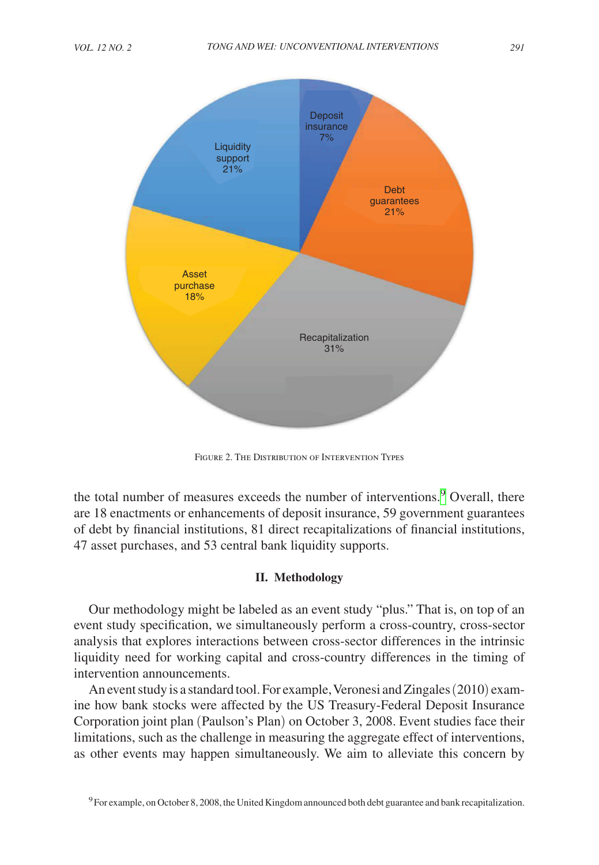<span id="page-7-0"></span>

FIGURE 2. THE DISTRIBUTION OF INTERVENTION TYPES

the total number of measures exceeds the number of interventions.<sup>[9](#page-7-1)</sup> Overall, there are 18 enactments or enhancements of deposit insurance, 59 government guarantees of debt by financial institutions, 81 direct recapitalizations of financial institutions, 47 asset purchases, and 53 central bank liquidity supports.

#### **II. Methodology**

Our methodology might be labeled as an event study "plus." That is, on top of an event study specification, we simultaneously perform a cross-country, cross-sector analysis that explores interactions between cross-sector differences in the intrinsic liquidity need for working capital and cross-country differences in the timing of intervention announcements.

An event study is a standard tool. For example, Veronesi and Zingales (2010) examine how bank stocks were affected by the US Treasury-Federal Deposit Insurance Corporation joint plan (Paulson's Plan) on October 3, 2008. Event studies face their limitations, such as the challenge in measuring the aggregate effect of interventions, as other events may happen simultaneously. We aim to alleviate this concern by

<span id="page-7-1"></span><sup>&</sup>lt;sup>9</sup>For example, on October 8, 2008, the United Kingdom announced both debt guarantee and bank recapitalization.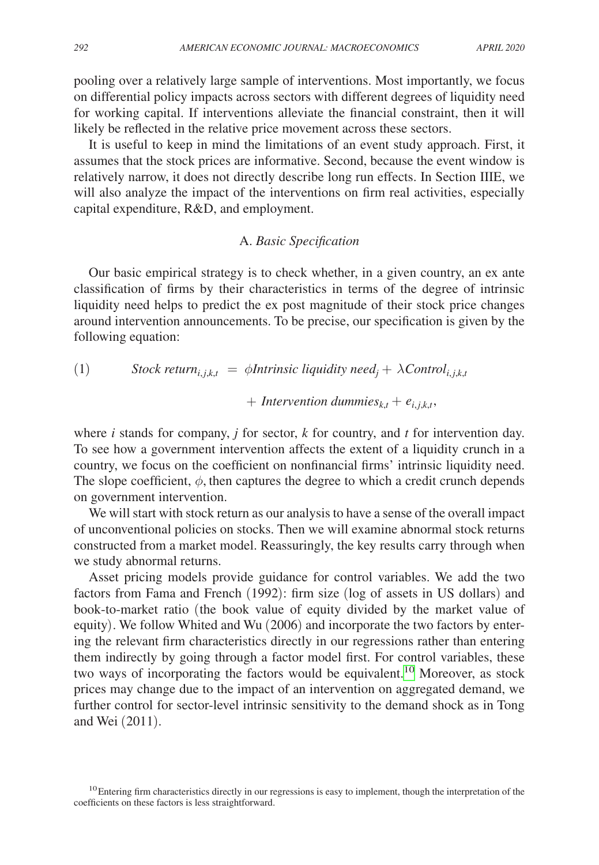pooling over a relatively large sample of interventions. Most importantly, we focus on differential policy impacts across sectors with different degrees of liquidity need for working capital. If interventions alleviate the financial constraint, then it will likely be reflected in the relative price movement across these sectors.

It is useful to keep in mind the limitations of an event study approach. First, it assumes that the stock prices are informative. Second, because the event window is relatively narrow, it does not directly describe long run effects. In Section IIIE, we will also analyze the impact of the interventions on firm real activities, especially capital expenditure, R&D, and employment.

#### A. *Basic Specification*

Our basic empirical strategy is to check whether, in a given country, an ex ante classification of firms by their characteristics in terms of the degree of intrinsic liquidity need helps to predict the ex post magnitude of their stock price changes around intervention announcements. To be precise, our specification is given by the following equation:

(1) *Stock return*<sub>*i,j,k,t*</sub> = 
$$
\phi
$$
*Intrinsic liquidity need*<sub>*j*</sub> +  $\lambda$ *Control*<sub>*i,j,k,t*</sub>

 $+$  *Intervention dummies*<sub> $k,t$ </sub> +  $e_{i,j,k,t}$ ,

where *i* stands for company, *j* for sector, *k* for country, and *t* for intervention day. To see how a government intervention affects the extent of a liquidity crunch in a country, we focus on the coefficient on nonfinancial firms' intrinsic liquidity need. The slope coefficient,  $\phi$ , then captures the degree to which a credit crunch depends on government intervention.

We will start with stock return as our analysis to have a sense of the overall impact of unconventional policies on stocks. Then we will examine abnormal stock returns constructed from a market model. Reassuringly, the key results carry through when we study abnormal returns.

Asset pricing models provide guidance for control variables. We add the two factors from Fama and French (1992): firm size (log of assets in US dollars) and book-to-market ratio (the book value of equity divided by the market value of equity). We follow Whited and Wu (2006) and incorporate the two factors by entering the relevant firm characteristics directly in our regressions rather than entering them indirectly by going through a factor model first. For control variables, these two ways of incorporating the factors would be equivalent.<sup>10</sup> Moreover, as stock prices may change due to the impact of an intervention on aggregated demand, we further control for sector-level intrinsic sensitivity to the demand shock as in Tong and Wei (2011).

<span id="page-8-0"></span> $10$ Entering firm characteristics directly in our regressions is easy to implement, though the interpretation of the coefficients on these factors is less straightforward.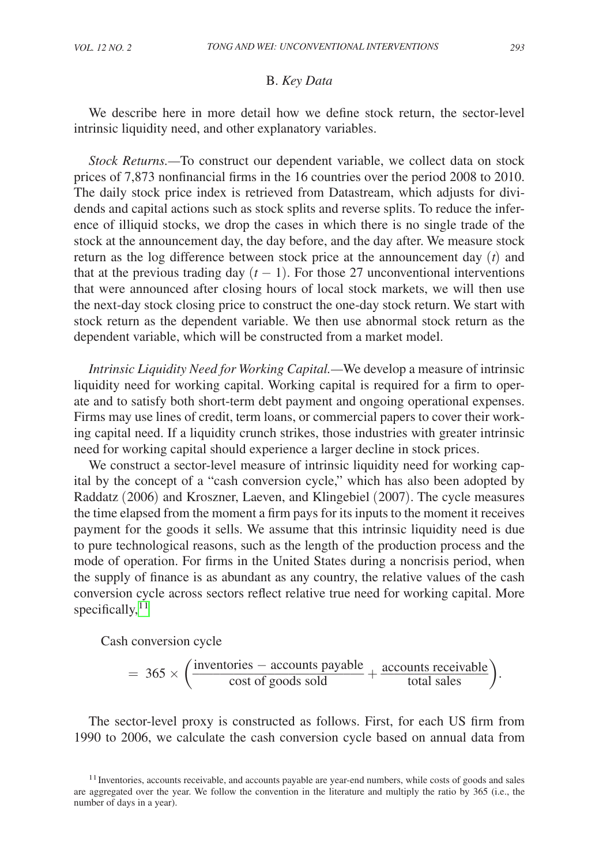#### B. *Key Data*

We describe here in more detail how we define stock return, the sector-level intrinsic liquidity need, and other explanatory variables.

*Stock Returns.—*To construct our dependent variable, we collect data on stock prices of 7,873 nonfinancial firms in the 16 countries over the period 2008 to 2010. The daily stock price index is retrieved from Datastream, which adjusts for dividends and capital actions such as stock splits and reverse splits. To reduce the inference of illiquid stocks, we drop the cases in which there is no single trade of the stock at the announcement day, the day before, and the day after. We measure stock return as the log difference between stock price at the announcement day (*t*) and that at the previous trading day  $(t - 1)$ . For those 27 unconventional interventions that were announced after closing hours of local stock markets, we will then use the next-day stock closing price to construct the one-day stock return. We start with stock return as the dependent variable. We then use abnormal stock return as the dependent variable, which will be constructed from a market model.

*Intrinsic Liquidity Need for Working Capital.—*We develop a measure of intrinsic liquidity need for working capital. Working capital is required for a firm to operate and to satisfy both short-term debt payment and ongoing operational expenses. Firms may use lines of credit, term loans, or commercial papers to cover their working capital need. If a liquidity crunch strikes, those industries with greater intrinsic need for working capital should experience a larger decline in stock prices.

We construct a sector-level measure of intrinsic liquidity need for working capital by the concept of a "cash conversion cycle," which has also been adopted by Raddatz (2006) and Kroszner, Laeven, and Klingebiel (2007). The cycle measures the time elapsed from the moment a firm pays for its inputs to the moment it receives payment for the goods it sells. We assume that this intrinsic liquidity need is due to pure technological reasons, such as the length of the production process and the mode of operation. For firms in the United States during a noncrisis period, when the supply of finance is as abundant as any country, the relative values of the cash conversion cycle across sectors reflect relative true need for working capital. More specifically, $11$ 

Cash conversion cycle

Cash conversion cycle  
= 
$$
365 \times \left( \frac{\text{inventories} - \text{ accounts payable}}{\text{cost of goods sold}} + \frac{\text{ accounts receive} \times \text{total sales}}{\text{total sales}} \right)
$$
.

The sector-level proxy is constructed as follows. First, for each US firm from 1990 to 2006, we calculate the cash conversion cycle based on annual data from

<span id="page-9-0"></span><sup>&</sup>lt;sup>11</sup> Inventories, accounts receivable, and accounts payable are year-end numbers, while costs of goods and sales are aggregated over the year. We follow the convention in the literature and multiply the ratio by 365 (i.e., the number of days in a year).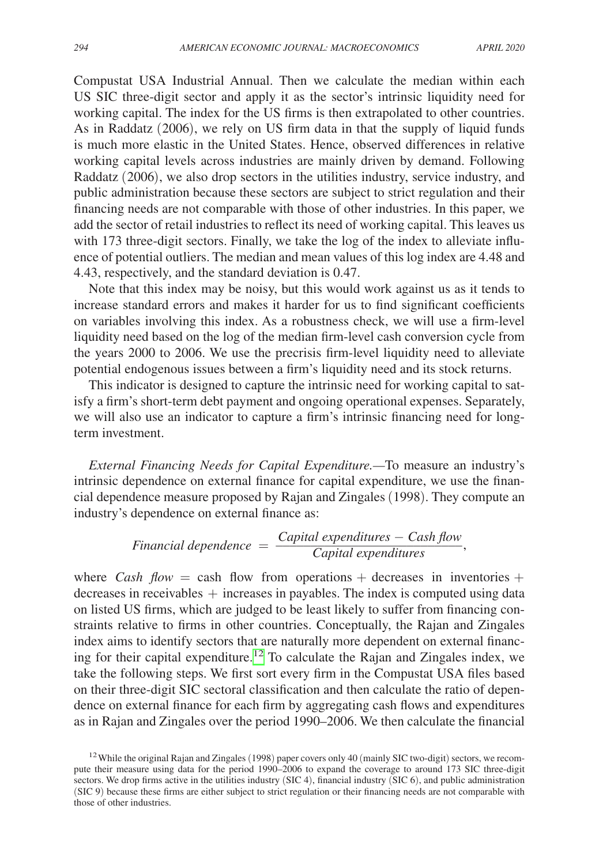Compustat USA Industrial Annual. Then we calculate the median within each US SIC three-digit sector and apply it as the sector's intrinsic liquidity need for working capital. The index for the US firms is then extrapolated to other countries. As in Raddatz (2006), we rely on US firm data in that the supply of liquid funds is much more elastic in the United States. Hence, observed differences in relative working capital levels across industries are mainly driven by demand. Following Raddatz (2006), we also drop sectors in the utilities industry, service industry, and public administration because these sectors are subject to strict regulation and their financing needs are not comparable with those of other industries. In this paper, we add the sector of retail industries to reflect its need of working capital. This leaves us with 173 three-digit sectors. Finally, we take the log of the index to alleviate influence of potential outliers. The median and mean values of this log index are 4.48 and 4.43, respectively, and the standard deviation is 0.47.

Note that this index may be noisy, but this would work against us as it tends to increase standard errors and makes it harder for us to find significant coefficients on variables involving this index. As a robustness check, we will use a firm-level liquidity need based on the log of the median firm-level cash conversion cycle from the years 2000 to 2006. We use the precrisis firm-level liquidity need to alleviate potential endogenous issues between a firm's liquidity need and its stock returns.

This indicator is designed to capture the intrinsic need for working capital to satisfy a firm's short-term debt payment and ongoing operational expenses. Separately, we will also use an indicator to capture a firm's intrinsic financing need for longterm investment.

*External Financing Needs for Capital Expenditure.—*To measure an industry's intrinsic dependence on external finance for capital expenditure, we use the finanmainstructure of external mance for capital experience, we use the man-<br>cial dependence measure proposed by Rajan and Zingales (1998). They compute an<br>industry's dependence on external finance as:<br>Financial dependence  $=$ industry's dependence on external finance as:

Financial dependence = 
$$
\frac{Capital\ expenditures - Cash\ flow}{Capital\ expenditures}
$$

where *Cash flow* = cash flow from operations + decreases in inventories +  $decreases$  in receivables  $+$  increases in payables. The index is computed using data on listed US firms, which are judged to be least likely to suffer from financing constraints relative to firms in other countries. Conceptually, the Rajan and Zingales index aims to identify sectors that are naturally more dependent on external financing for their capital expenditure[.12](#page-10-0) To calculate the Rajan and Zingales index, we take the following steps. We first sort every firm in the Compustat USA files based on their three-digit SIC sectoral classification and then calculate the ratio of dependence on external finance for each firm by aggregating cash flows and expenditures as in Rajan and Zingales over the period 1990–2006. We then calculate the financial

<span id="page-10-0"></span><sup>&</sup>lt;sup>12</sup> While the original Rajan and Zingales (1998) paper covers only 40 (mainly SIC two-digit) sectors, we recompute their measure using data for the period 1990–2006 to expand the coverage to around 173 SIC three-digit sectors. We drop firms active in the utilities industry (SIC 4), financial industry (SIC 6), and public administration (SIC 9) because these firms are either subject to strict regulation or their financing needs are not comparable with those of other industries.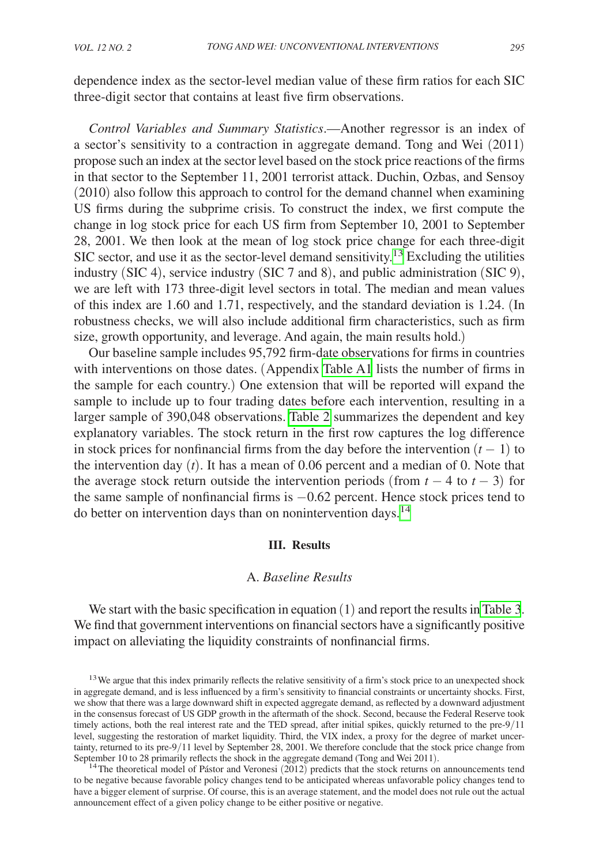dependence index as the sector-level median value of these firm ratios for each SIC three-digit sector that contains at least five firm observations.

*Control Variables and Summary Statistics*.—Another regressor is an index of a sector's sensitivity to a contraction in aggregate demand. Tong and Wei (2011) propose such an index at the sector level based on the stock price reactions of the firms in that sector to the September 11, 2001 terrorist attack. Duchin, Ozbas, and Sensoy (2010) also follow this approach to control for the demand channel when examining US firms during the subprime crisis. To construct the index, we first compute the change in log stock price for each US firm from September 10, 2001 to September 28, 2001. We then look at the mean of log stock price change for each three-digit SIC sector, and use it as the sector-level demand sensitivity.<sup>[13](#page-11-0)</sup> Excluding the utilities industry (SIC 4), service industry (SIC 7 and 8), and public administration (SIC 9), we are left with 173 three-digit level sectors in total. The median and mean values of this index are 1.60 and 1.71, respectively, and the standard deviation is 1.24. (In robustness checks, we will also include additional firm characteristics, such as firm size, growth opportunity, and leverage. And again, the main results hold.)

Our baseline sample includes 95,792 firm-date observations for firms in countries with interventions on those dates. (Appendix [Table A1](#page-23-0) lists the number of firms in the sample for each country.) One extension that will be reported will expand the sample to include up to four trading dates before each intervention, resulting in a larger sample of 390,048 observations. [Table 2](#page-12-0) summarizes the dependent and key explanatory variables. The stock return in the first row captures the log difference in stock prices for nonfinancial firms from the day before the intervention  $(t - 1)$  to the intervention day (*t*). It has a mean of 0.06 percent and a median of 0. Note that the average stock return outside the intervention periods (from  $t - 4$  to  $t - 3$ ) for the same sample of nonfinancial firms is −0.62 percent. Hence stock prices tend to do better on intervention days than on nonintervention days.<sup>[14](#page-11-1)</sup>

#### **III. Results**

#### A. *Baseline Results*

We start with the basic specification in equation (1) and report the results in [Table](#page-12-0) 3. We find that government interventions on financial sectors have a significantly positive impact on alleviating the liquidity constraints of nonfinancial firms.

<span id="page-11-0"></span><sup>&</sup>lt;sup>13</sup>We argue that this index primarily reflects the relative sensitivity of a firm's stock price to an unexpected shock in aggregate demand, and is less influenced by a firm's sensitivity to financial constraints or uncertainty shocks. First, we show that there was a large downward shift in expected aggregate demand, as reflected by a downward adjustment in the consensus forecast of US GDP growth in the aftermath of the shock. Second, because the Federal Reserve took timely actions, both the real interest rate and the TED spread, after initial spikes, quickly returned to the pre-9/11 level, suggesting the restoration of market liquidity. Third, the VIX index, a proxy for the degree of market uncertainty, returned to its pre-9/11 level by September 28, 2001. We therefore conclude that the stock price change from September 10 to 28 primarily reflects the shock in the aggregate demand (Tong and Wei 2011).

<span id="page-11-1"></span> $14$ The theoretical model of Pástor and Veronesi (2012) predicts that the stock returns on announcements tend to be negative because favorable policy changes tend to be anticipated whereas unfavorable policy changes tend to have a bigger element of surprise. Of course, this is an average statement, and the model does not rule out the actual announcement effect of a given policy change to be either positive or negative.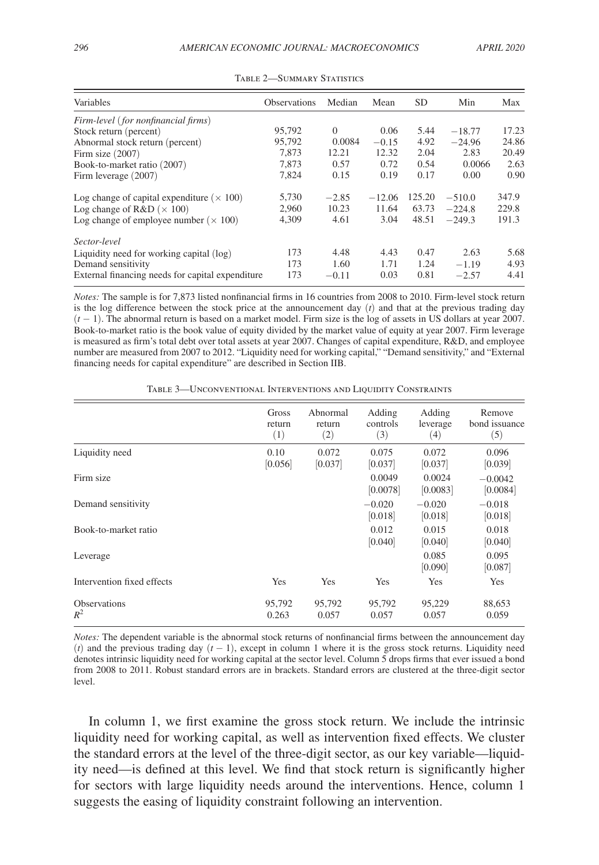<span id="page-12-0"></span>

| Variables                                         | <b>Observations</b> | Median   | Mean     | <b>SD</b> | Min      | Max   |
|---------------------------------------------------|---------------------|----------|----------|-----------|----------|-------|
| Firm-level (for nonfinancial firms)               |                     |          |          |           |          |       |
| Stock return (percent)                            | 95,792              | $\Omega$ | 0.06     | 5.44      | $-18.77$ | 17.23 |
| Abnormal stock return (percent)                   | 95,792              | 0.0084   | $-0.15$  | 4.92      | $-24.96$ | 24.86 |
| Firm size $(2007)$                                | 7.873               | 12.21    | 12.32    | 2.04      | 2.83     | 20.49 |
| Book-to-market ratio (2007)                       | 7.873               | 0.57     | 0.72     | 0.54      | 0.0066   | 2.63  |
| Firm leverage (2007)                              | 7.824               | 0.15     | 0.19     | 0.17      | 0.00     | 0.90  |
| Log change of capital expenditure ( $\times$ 100) | 5,730               | $-2.85$  | $-12.06$ | 125.20    | $-510.0$ | 347.9 |
| Log change of $R&D \;(\times 100)$                | 2.960               | 10.23    | 11.64    | 63.73     | $-224.8$ | 229.8 |
| Log change of employee number ( $\times$ 100)     | 4,309               | 4.61     | 3.04     | 48.51     | $-249.3$ | 191.3 |
| Sector-level                                      |                     |          |          |           |          |       |
| Liquidity need for working capital (log)          | 173                 | 4.48     | 4.43     | 0.47      | 2.63     | 5.68  |
| Demand sensitivity                                | 173                 | 1.60     | 1.71     | 1.24      | $-1.19$  | 4.93  |
| External financing needs for capital expenditure  | 173                 | $-0.11$  | 0.03     | 0.81      | $-2.57$  | 4.41  |

Table 2—Summary Statistics

*Notes:* The sample is for 7,873 listed nonfinancial firms in 16 countries from 2008 to 2010. Firm-level stock return is the log difference between the stock price at the announcement day  $(t)$  and that at the previous trading day (*t* − 1). The abnormal return is based on a market model. Firm size is the log of assets in US dollars at year 2007. Book-to-market ratio is the book value of equity divided by the market value of equity at year 2007. Firm leverage is measured as firm's total debt over total assets at year 2007. Changes of capital expenditure, R&D, and employee number are measured from 2007 to 2012. "Liquidity need for working capital," "Demand sensitivity," and "External financing needs for capital expenditure" are described in Section IIB.

Table 3—Unconventional Interventions and Liquidity Constraints

|                              | Gross<br>return<br>(1) | Abnormal<br>return<br>(2) | Adding<br>controls<br>(3) | Adding<br>leverage<br>(4) | Remove<br>bond issuance<br>(5) |
|------------------------------|------------------------|---------------------------|---------------------------|---------------------------|--------------------------------|
| Liquidity need               | 0.10<br>[0.056]        | 0.072<br>[0.037]          | 0.075<br>[0.037]          | 0.072<br>[0.037]          | 0.096<br>[0.039]               |
| Firm size                    |                        |                           | 0.0049<br>[0.0078]        | 0.0024<br>[0.0083]        | $-0.0042$<br>[0.0084]          |
| Demand sensitivity           |                        |                           | $-0.020$<br>[0.018]       | $-0.020$<br>[0.018]       | $-0.018$<br>[0.018]            |
| Book-to-market ratio         |                        |                           | 0.012<br>[0.040]          | 0.015<br>[0.040]          | 0.018<br>[0.040]               |
| Leverage                     |                        |                           |                           | 0.085<br>[0.090]          | 0.095<br>[0.087]               |
| Intervention fixed effects   | Yes                    | Yes                       | Yes                       | Yes                       | Yes                            |
| <b>Observations</b><br>$R^2$ | 95,792<br>0.263        | 95,792<br>0.057           | 95,792<br>0.057           | 95,229<br>0.057           | 88,653<br>0.059                |

*Notes:* The dependent variable is the abnormal stock returns of nonfinancial firms between the announcement day  $(t)$  and the previous trading day  $(t - 1)$ , except in column 1 where it is the gross stock returns. Liquidity need denotes intrinsic liquidity need for working capital at the sector level. Column 5 drops firms that ever issued a bond from 2008 to 2011. Robust standard errors are in brackets. Standard errors are clustered at the three-digit sector level.

In column 1, we first examine the gross stock return. We include the intrinsic liquidity need for working capital, as well as intervention fixed effects. We cluster the standard errors at the level of the three-digit sector, as our key variable—liquidity need—is defined at this level. We find that stock return is significantly higher for sectors with large liquidity needs around the interventions. Hence, column 1 suggests the easing of liquidity constraint following an intervention.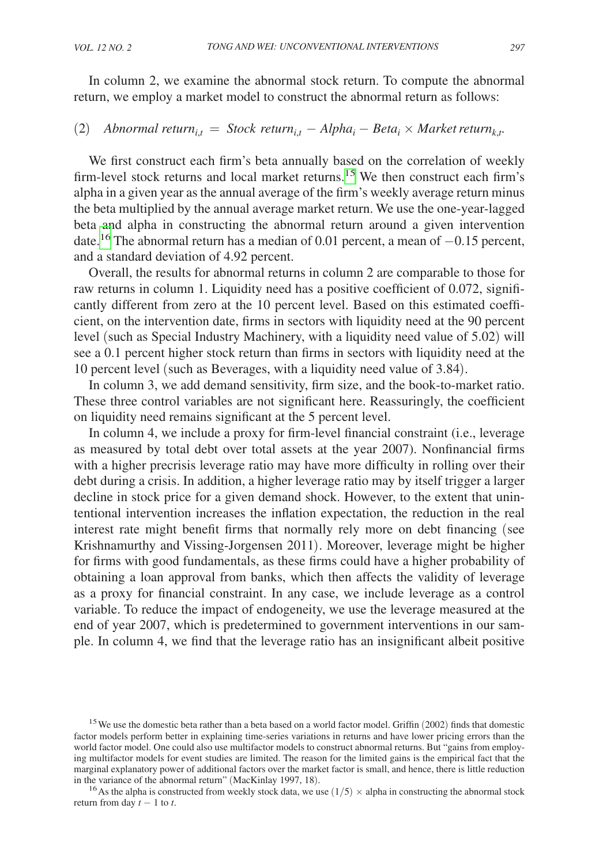In column 2, we examine the abnormal stock return. To compute the abnormal return, we employ a market model to construct the abnormal return as follows:

## (2) *Abnormal return*<sub>i,t</sub> = *Stock return*<sub>i,t</sub> – *Alpha*<sub>i</sub> – *Beta*<sub>i</sub> × *Market return*<sub>k,t</sub>.

We first construct each firm's beta annually based on the correlation of weekly firm-level stock returns and local market returns.[15](#page-13-0) We then construct each firm's alpha in a given year as the annual average of the firm's weekly average return minus the beta multiplied by the annual average market return. We use the one-year-lagged beta and alpha in constructing the abnormal return around a given intervention date.<sup>16</sup> The abnormal return has a median of 0.01 percent, a mean of  $-0.15$  percent, and a standard deviation of 4.92 percent.

Overall, the results for abnormal returns in column 2 are comparable to those for raw returns in column 1. Liquidity need has a positive coefficient of 0.072, significantly different from zero at the 10 percent level. Based on this estimated coefficient, on the intervention date, firms in sectors with liquidity need at the 90 percent level (such as Special Industry Machinery, with a liquidity need value of 5.02) will see a 0.1 percent higher stock return than firms in sectors with liquidity need at the 10 percent level (such as Beverages, with a liquidity need value of 3.84).

In column 3, we add demand sensitivity, firm size, and the book-to-market ratio. These three control variables are not significant here. Reassuringly, the coefficient on liquidity need remains significant at the 5 percent level.

In column 4, we include a proxy for firm-level financial constraint (i.e., leverage as measured by total debt over total assets at the year 2007). Nonfinancial firms with a higher precrisis leverage ratio may have more difficulty in rolling over their debt during a crisis. In addition, a higher leverage ratio may by itself trigger a larger decline in stock price for a given demand shock. However, to the extent that unintentional intervention increases the inflation expectation, the reduction in the real interest rate might benefit firms that normally rely more on debt financing (see Krishnamurthy and Vissing-Jorgensen 2011). Moreover, leverage might be higher for firms with good fundamentals, as these firms could have a higher probability of obtaining a loan approval from banks, which then affects the validity of leverage as a proxy for financial constraint. In any case, we include leverage as a control variable. To reduce the impact of endogeneity, we use the leverage measured at the end of year 2007, which is predetermined to government interventions in our sample. In column 4, we find that the leverage ratio has an insignificant albeit positive

<span id="page-13-0"></span><sup>&</sup>lt;sup>15</sup> We use the domestic beta rather than a beta based on a world factor model. Griffin (2002) finds that domestic factor models perform better in explaining time-series variations in returns and have lower pricing errors than the world factor model. One could also use multifactor models to construct abnormal returns. But "gains from employing multifactor models for event studies are limited. The reason for the limited gains is the empirical fact that the marginal explanatory power of additional factors over the market factor is small, and hence, there is little reduction in the variance of the abnormal return" (MacKinlay 1997, 18).<br><sup>16</sup>As the alpha is constructed from weekly stock data, we use (1/5) × alpha in constructing the abnormal stock

<span id="page-13-1"></span>return from day  $t - 1$  to  $t$ .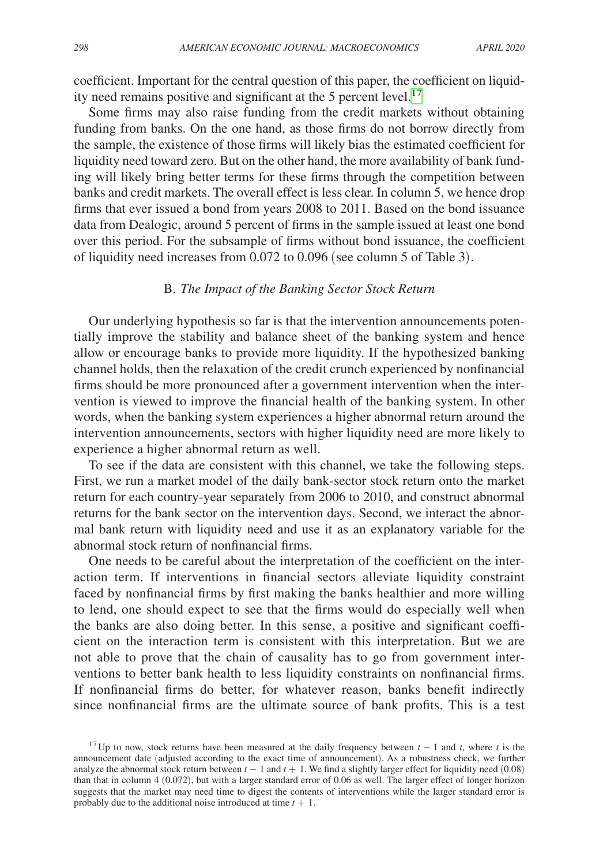coefficient. Important for the central question of this paper, the coefficient on liquid-ity need remains positive and significant at the 5 percent level.<sup>[17](#page-14-0)</sup>

Some firms may also raise funding from the credit markets without obtaining funding from banks. On the one hand, as those firms do not borrow directly from the sample, the existence of those firms will likely bias the estimated coefficient for liquidity need toward zero. But on the other hand, the more availability of bank funding will likely bring better terms for these firms through the competition between banks and credit markets. The overall effect is less clear. In column 5, we hence drop firms that ever issued a bond from years 2008 to 2011. Based on the bond issuance data from Dealogic, around 5 percent of firms in the sample issued at least one bond over this period. For the subsample of firms without bond issuance, the coefficient of liquidity need increases from 0.072 to 0.096 (see column 5 of Table 3).

#### B. *The Impact of the Banking Sector Stock Return*

Our underlying hypothesis so far is that the intervention announcements potentially improve the stability and balance sheet of the banking system and hence allow or encourage banks to provide more liquidity. If the hypothesized banking channel holds, then the relaxation of the credit crunch experienced by nonfinancial firms should be more pronounced after a government intervention when the intervention is viewed to improve the financial health of the banking system. In other words, when the banking system experiences a higher abnormal return around the intervention announcements, sectors with higher liquidity need are more likely to experience a higher abnormal return as well.

To see if the data are consistent with this channel, we take the following steps. First, we run a market model of the daily bank-sector stock return onto the market return for each country-year separately from 2006 to 2010, and construct abnormal returns for the bank sector on the intervention days. Second, we interact the abnormal bank return with liquidity need and use it as an explanatory variable for the abnormal stock return of nonfinancial firms.

One needs to be careful about the interpretation of the coefficient on the interaction term. If interventions in financial sectors alleviate liquidity constraint faced by nonfinancial firms by first making the banks healthier and more willing to lend, one should expect to see that the firms would do especially well when the banks are also doing better. In this sense, a positive and significant coefficient on the interaction term is consistent with this interpretation. But we are not able to prove that the chain of causality has to go from government interventions to better bank health to less liquidity constraints on nonfinancial firms. If nonfinancial firms do better, for whatever reason, banks benefit indirectly since nonfinancial firms are the ultimate source of bank profits. This is a test

<span id="page-14-0"></span><sup>&</sup>lt;sup>17</sup>Up to now, stock returns have been measured at the daily frequency between  $t - 1$  and  $t$ , where  $t$  is the announcement date (adjusted according to the exact time of announcement). As a robustness check, we further analyze the abnormal stock return between  $t - 1$  and  $t + 1$ . We find a slightly larger effect for liquidity need (0.08) than that in column 4 (0.072), but with a larger standard error of 0.06 as well. The larger effect of longer horizon suggests that the market may need time to digest the contents of interventions while the larger standard error is probably due to the additional noise introduced at time  $t + 1$ .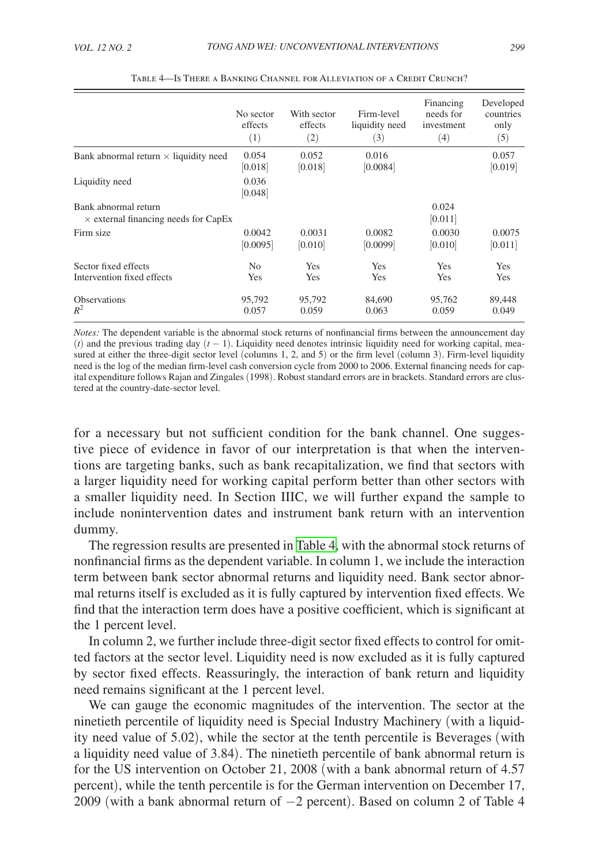|                                                                     | No sector<br>effects<br>(1) | With sector<br>effects<br>(2) | Firm-level<br>liquidity need<br>(3) | Financing<br>needs for<br>investment<br>(4) | Developed<br>countries<br>only<br>(5) |
|---------------------------------------------------------------------|-----------------------------|-------------------------------|-------------------------------------|---------------------------------------------|---------------------------------------|
| Bank abnormal return $\times$ liquidity need                        | 0.054<br>[0.018]            | 0.052<br>[0.018]              | 0.016<br>[0.0084]                   |                                             | 0.057<br>[0.019]                      |
| Liquidity need                                                      | 0.036<br>[0.048]            |                               |                                     |                                             |                                       |
| Bank abnormal return<br>$\times$ external financing needs for CapEx |                             |                               |                                     | 0.024<br>[0.011]                            |                                       |
| Firm size                                                           | 0.0042<br>[0.0095]          | 0.0031<br>[0.010]             | 0.0082<br>[0.0099]                  | 0.0030<br>[0.010]                           | 0.0075<br>[0.011]                     |
| Sector fixed effects<br>Intervention fixed effects                  | N <sub>0</sub><br>Yes       | Yes<br>Yes                    | Yes<br>Yes                          | Yes<br>Yes                                  | Yes<br>Yes                            |
| <b>Observations</b><br>$R^2$                                        | 95,792<br>0.057             | 95,792<br>0.059               | 84,690<br>0.063                     | 95.762<br>0.059                             | 89,448<br>0.049                       |

Table 4—Is There a Banking Channel for Alleviation of a Credit Crunch?

*Notes:* The dependent variable is the abnormal stock returns of nonfinancial firms between the announcement day  $(t)$  and the previous trading day  $(t - 1)$ . Liquidity need denotes intrinsic liquidity need for working capital, measured at either the three-digit sector level (columns 1, 2, and 5) or the firm level (column 3). Firm-level liquidity need is the log of the median firm-level cash conversion cycle from 2000 to 2006. External financing needs for capital expenditure follows Rajan and Zingales (1998). Robust standard errors are in brackets. Standard errors are clustered at the country-date-sector level.

for a necessary but not sufficient condition for the bank channel. One suggestive piece of evidence in favor of our interpretation is that when the interventions are targeting banks, such as bank recapitalization, we find that sectors with a larger liquidity need for working capital perform better than other sectors with a smaller liquidity need. In Section IIIC, we will further expand the sample to include nonintervention dates and instrument bank return with an intervention dummy.

The regression results are presented in Table 4, with the abnormal stock returns of nonfinancial firms as the dependent variable. In column 1, we include the interaction term between bank sector abnormal returns and liquidity need. Bank sector abnormal returns itself is excluded as it is fully captured by intervention fixed effects. We find that the interaction term does have a positive coefficient, which is significant at the 1 percent level.

In column 2, we further include three-digit sector fixed effects to control for omitted factors at the sector level. Liquidity need is now excluded as it is fully captured by sector fixed effects. Reassuringly, the interaction of bank return and liquidity need remains significant at the 1 percent level.

We can gauge the economic magnitudes of the intervention. The sector at the ninetieth percentile of liquidity need is Special Industry Machinery (with a liquidity need value of 5.02), while the sector at the tenth percentile is Beverages (with a liquidity need value of 3.84). The ninetieth percentile of bank abnormal return is for the US intervention on October 21, 2008 (with a bank abnormal return of 4.57 percent), while the tenth percentile is for the German intervention on December 17, 2009 (with a bank abnormal return of −2 percent). Based on column 2 of Table 4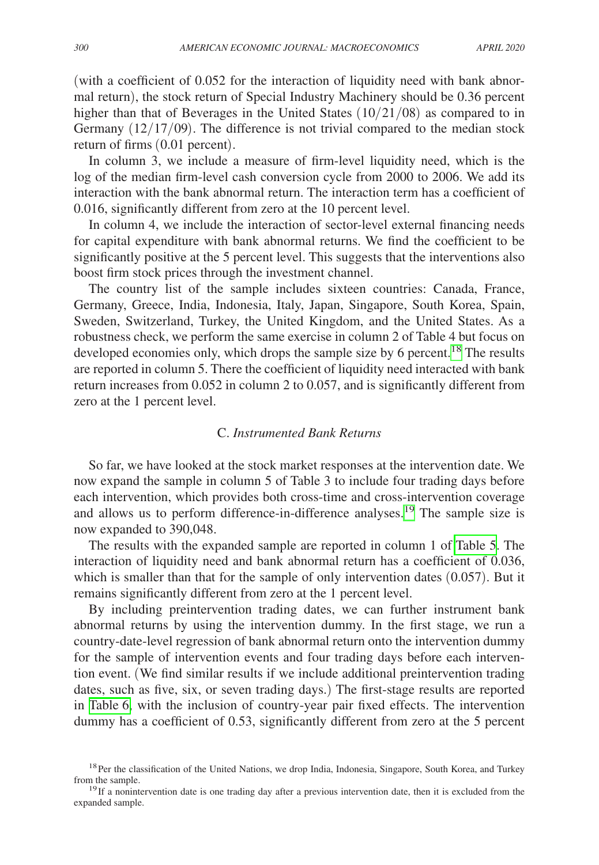(with a coefficient of 0.052 for the interaction of liquidity need with bank abnormal return), the stock return of Special Industry Machinery should be 0.36 percent higher than that of Beverages in the United States (10/21/08) as compared to in Germany  $(12/17/09)$ . The difference is not trivial compared to the median stock return of firms (0.01 percent).

In column 3, we include a measure of firm-level liquidity need, which is the log of the median firm-level cash conversion cycle from 2000 to 2006. We add its interaction with the bank abnormal return. The interaction term has a coefficient of 0.016, significantly different from zero at the 10 percent level.

In column 4, we include the interaction of sector-level external financing needs for capital expenditure with bank abnormal returns. We find the coefficient to be significantly positive at the 5 percent level. This suggests that the interventions also boost firm stock prices through the investment channel.

The country list of the sample includes sixteen countries: Canada, France, Germany, Greece, India, Indonesia, Italy, Japan, Singapore, South Korea, Spain, Sweden, Switzerland, Turkey, the United Kingdom, and the United States. As a robustness check, we perform the same exercise in column 2 of Table 4 but focus on developed economies only, which drops the sample size by 6 percent.<sup>18</sup> The results are reported in column 5. There the coefficient of liquidity need interacted with bank return increases from 0.052 in column 2 to 0.057, and is significantly different from zero at the 1 percent level.

#### C. *Instrumented Bank Returns*

So far, we have looked at the stock market responses at the intervention date. We now expand the sample in column 5 of Table 3 to include four trading days before each intervention, which provides both cross-time and cross-intervention coverage and allows us to perform difference-in-difference analyses.[19](#page-16-1) The sample size is now expanded to 390,048.

The results with the expanded sample are reported in column 1 of [Table 5](#page-17-0). The interaction of liquidity need and bank abnormal return has a coefficient of 0.036, which is smaller than that for the sample of only intervention dates  $(0.057)$ . But it remains significantly different from zero at the 1 percent level.

By including preintervention trading dates, we can further instrument bank abnormal returns by using the intervention dummy. In the first stage, we run a country-date-level regression of bank abnormal return onto the intervention dummy for the sample of intervention events and four trading days before each intervention event. (We find similar results if we include additional preintervention trading dates, such as five, six, or seven trading days.) The first-stage results are reported in [Table](#page-17-0) 6, with the inclusion of country-year pair fixed effects. The intervention dummy has a coefficient of 0.53, significantly different from zero at the 5 percent

<span id="page-16-0"></span><sup>&</sup>lt;sup>18</sup>Per the classification of the United Nations, we drop India, Indonesia, Singapore, South Korea, and Turkey from the sample.<br><sup>19</sup>If a nonintervention date is one trading day after a previous intervention date, then it is excluded from the

<span id="page-16-1"></span>expanded sample.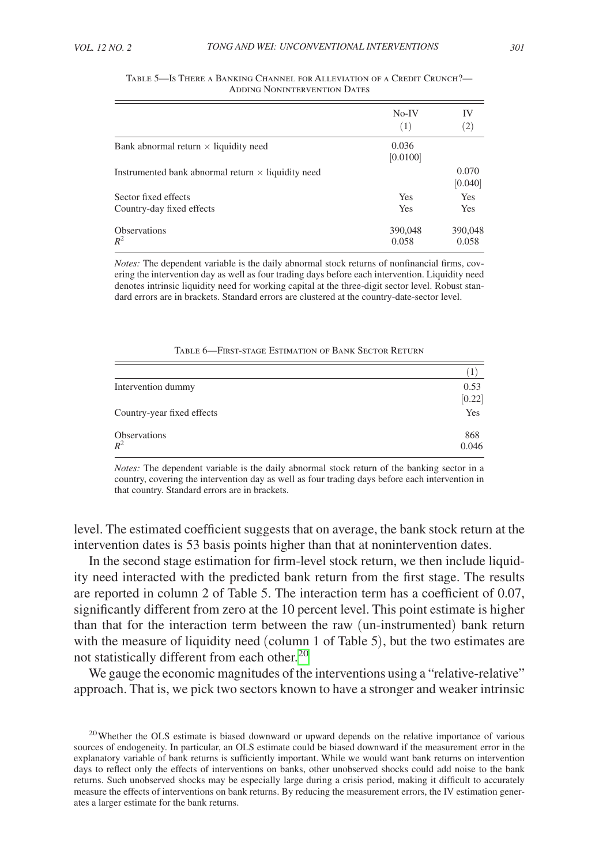|                                                           | $No-IV$<br>(1)    | IV<br>$\left( 2\right)$ |
|-----------------------------------------------------------|-------------------|-------------------------|
| Bank abnormal return $\times$ liquidity need              | 0.036<br>[0.0100] |                         |
| Instrumented bank abnormal return $\times$ liquidity need |                   | 0.070<br>[0.040]        |
| Sector fixed effects<br>Country-day fixed effects         | Yes<br>Yes        | Yes<br>Yes              |
| <b>Observations</b><br>$R^2$                              | 390,048<br>0.058  | 390,048<br>0.058        |

<span id="page-17-0"></span>

| Table 5—Is There a Banking Channel for Alleviation of a Credit Crunch?— |                                     |  |  |
|-------------------------------------------------------------------------|-------------------------------------|--|--|
|                                                                         | <b>ADDING NONINTERVENTION DATES</b> |  |  |

*Notes:* The dependent variable is the daily abnormal stock returns of nonfinancial firms, covering the intervention day as well as four trading days before each intervention. Liquidity need denotes intrinsic liquidity need for working capital at the three-digit sector level. Robust standard errors are in brackets. Standard errors are clustered at the country-date-sector level.

| Intervention dummy         | 0.53   |
|----------------------------|--------|
|                            | [0.22] |
| Country-year fixed effects | Yes    |
| Observations               | 868    |
| $R^2$                      | 0.046  |

|  | TABLE 6—FIRST-STAGE ESTIMATION OF BANK SECTOR RETURN |
|--|------------------------------------------------------|
|  |                                                      |

*Notes:* The dependent variable is the daily abnormal stock return of the banking sector in a country, covering the intervention day as well as four trading days before each intervention in that country. Standard errors are in brackets.

level. The estimated coefficient suggests that on average, the bank stock return at the intervention dates is 53 basis points higher than that at nonintervention dates.

In the second stage estimation for firm-level stock return, we then include liquidity need interacted with the predicted bank return from the first stage. The results are reported in column 2 of Table 5. The interaction term has a coefficient of 0.07, significantly different from zero at the 10 percent level. This point estimate is higher than that for the interaction term between the raw (un-instrumented) bank return with the measure of liquidity need (column 1 of Table 5), but the two estimates are not statistically different from each other.<sup>[20](#page-17-1)</sup>

We gauge the economic magnitudes of the interventions using a "relative-relative" approach. That is, we pick two sectors known to have a stronger and weaker intrinsic

<span id="page-17-1"></span><sup>&</sup>lt;sup>20</sup>Whether the OLS estimate is biased downward or upward depends on the relative importance of various sources of endogeneity. In particular, an OLS estimate could be biased downward if the measurement error in the explanatory variable of bank returns is sufficiently important. While we would want bank returns on intervention days to reflect only the effects of interventions on banks, other unobserved shocks could add noise to the bank returns. Such unobserved shocks may be especially large during a crisis period, making it difficult to accurately measure the effects of interventions on bank returns. By reducing the measurement errors, the IV estimation generates a larger estimate for the bank returns.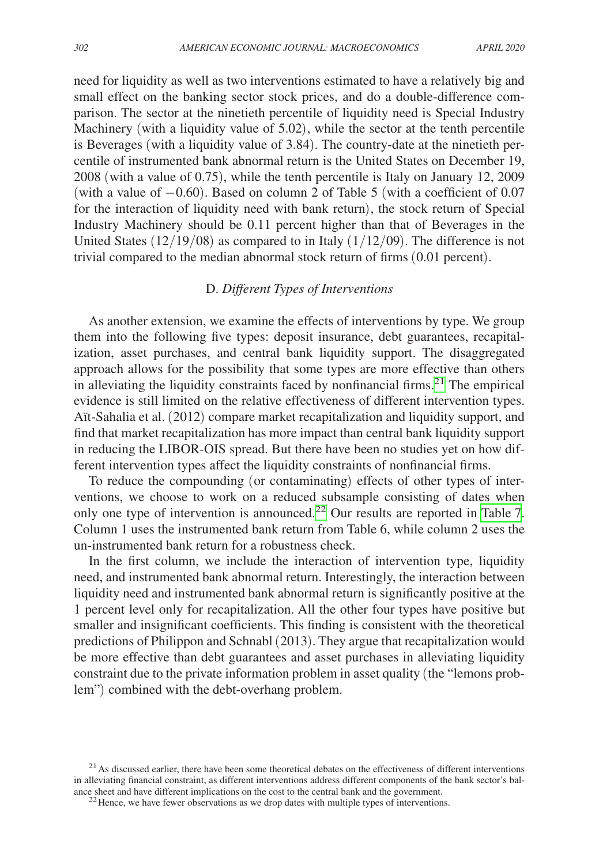need for liquidity as well as two interventions estimated to have a relatively big and small effect on the banking sector stock prices, and do a double-difference comparison. The sector at the ninetieth percentile of liquidity need is Special Industry Machinery (with a liquidity value of 5.02), while the sector at the tenth percentile is Beverages (with a liquidity value of 3.84). The country-date at the ninetieth percentile of instrumented bank abnormal return is the United States on December 19, 2008 (with a value of 0.75), while the tenth percentile is Italy on January 12, 2009 (with a value of  $-0.60$ ). Based on column 2 of Table 5 (with a coefficient of 0.07 for the interaction of liquidity need with bank return), the stock return of Special Industry Machinery should be 0.11 percent higher than that of Beverages in the United States  $(12/19/08)$  as compared to in Italy  $(1/12/09)$ . The difference is not trivial compared to the median abnormal stock return of firms (0.01 percent).

### D. *Different Types of Interventions*

As another extension, we examine the effects of interventions by type. We group them into the following five types: deposit insurance, debt guarantees, recapitalization, asset purchases, and central bank liquidity support. The disaggregated approach allows for the possibility that some types are more effective than others in alleviating the liquidity constraints faced by nonfinancial firms. $2<sup>1</sup>$  The empirical evidence is still limited on the relative effectiveness of different intervention types. Aït-Sahalia et al. (2012) compare market recapitalization and liquidity support, and find that market recapitalization has more impact than central bank liquidity support in reducing the LIBOR-OIS spread. But there have been no studies yet on how different intervention types affect the liquidity constraints of nonfinancial firms.

To reduce the compounding (or contaminating) effects of other types of interventions, we choose to work on a reduced subsample consisting of dates when only one type of intervention is announced.<sup>22</sup> Our results are reported in [Table](#page-19-0) 7. Column 1 uses the instrumented bank return from Table 6, while column 2 uses the un-instrumented bank return for a robustness check.

In the first column, we include the interaction of intervention type, liquidity need, and instrumented bank abnormal return. Interestingly, the interaction between liquidity need and instrumented bank abnormal return is significantly positive at the 1 percent level only for recapitalization. All the other four types have positive but smaller and insignificant coefficients. This finding is consistent with the theoretical predictions of Philippon and Schnabl (2013). They argue that recapitalization would be more effective than debt guarantees and asset purchases in alleviating liquidity constraint due to the private information problem in asset quality (the "lemons problem") combined with the debt-overhang problem.

<span id="page-18-0"></span> $21$ As discussed earlier, there have been some theoretical debates on the effectiveness of different interventions in alleviating financial constraint, as different interventions address different components of the bank sector's bal-<br>ance sheet and have different implications on the cost to the central bank and the government.

<span id="page-18-1"></span> $22$  Hence, we have fewer observations as we drop dates with multiple types of interventions.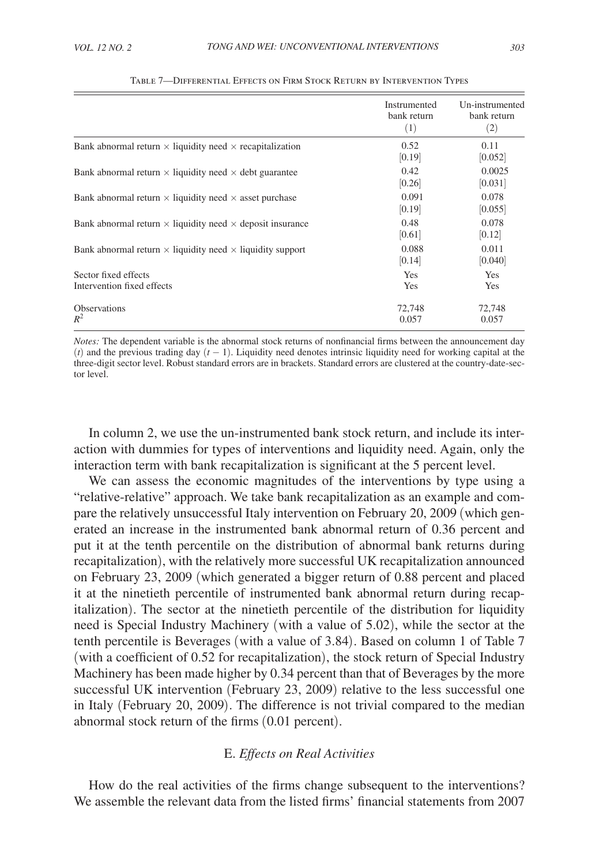<span id="page-19-0"></span>

|                                                                         | Instrumented<br>bank return<br>(1) | Un-instrumented<br>bank return<br>(2) |
|-------------------------------------------------------------------------|------------------------------------|---------------------------------------|
| Bank abnormal return $\times$ liquidity need $\times$ recapitalization  | 0.52<br>[0.19]                     | 0.11<br>[0.052]                       |
| Bank abnormal return $\times$ liquidity need $\times$ debt guarantee    | 0.42<br>[0.26]                     | 0.0025<br>[0.031]                     |
| Bank abnormal return $\times$ liquidity need $\times$ asset purchase    | 0.091<br>[0.19]                    | 0.078<br> 0.055                       |
| Bank abnormal return $\times$ liquidity need $\times$ deposit insurance | 0.48<br> 0.61                      | 0.078<br> 0.12                        |
| Bank abnormal return $\times$ liquidity need $\times$ liquidity support | 0.088<br>[0.14]                    | 0.011<br>[0.040]                      |
| Sector fixed effects<br>Intervention fixed effects                      | <b>Yes</b><br>Yes                  | Yes<br>Yes                            |
| <b>Observations</b><br>$R^2$                                            | 72,748<br>0.057                    | 72,748<br>0.057                       |

#### Table 7—Differential Effects on Firm Stock Return by Intervention Types

*Notes:* The dependent variable is the abnormal stock returns of nonfinancial firms between the announcement day (*t*) and the previous trading day (*t* − 1). Liquidity need denotes intrinsic liquidity need for working capital at the three-digit sector level. Robust standard errors are in brackets. Standard errors are clustered at the country-date-sector level.

In column 2, we use the un-instrumented bank stock return, and include its interaction with dummies for types of interventions and liquidity need. Again, only the interaction term with bank recapitalization is significant at the 5 percent level.

We can assess the economic magnitudes of the interventions by type using a "relative-relative" approach. We take bank recapitalization as an example and compare the relatively unsuccessful Italy intervention on February 20, 2009 (which generated an increase in the instrumented bank abnormal return of 0.36 percent and put it at the tenth percentile on the distribution of abnormal bank returns during recapitalization), with the relatively more successful UK recapitalization announced on February 23, 2009 (which generated a bigger return of 0.88 percent and placed it at the ninetieth percentile of instrumented bank abnormal return during recapitalization). The sector at the ninetieth percentile of the distribution for liquidity need is Special Industry Machinery (with a value of 5.02), while the sector at the tenth percentile is Beverages (with a value of 3.84). Based on column 1 of Table 7 (with a coefficient of 0.52 for recapitalization), the stock return of Special Industry Machinery has been made higher by 0.34 percent than that of Beverages by the more successful UK intervention (February 23, 2009) relative to the less successful one in Italy (February 20, 2009). The difference is not trivial compared to the median abnormal stock return of the firms (0.01 percent).

#### E. *Effects on Real Activities*

How do the real activities of the firms change subsequent to the interventions? We assemble the relevant data from the listed firms' financial statements from 2007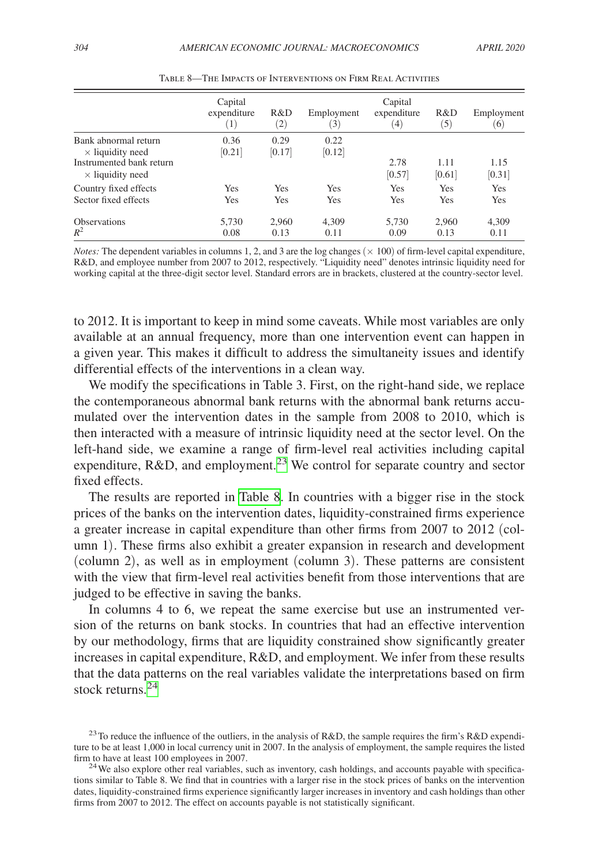|                                                     | Capital<br>expenditure<br>$\left(1\right)$ | R&D<br>$\left( 2\right)$ | Employment<br>$\left(3\right)$ | Capital<br>expenditure<br>(4) | R&D<br>(5)     | Employment<br>(6) |
|-----------------------------------------------------|--------------------------------------------|--------------------------|--------------------------------|-------------------------------|----------------|-------------------|
| Bank abnormal return<br>$\times$ liquidity need     | 0.36<br>[0.21]                             | 0.29<br>[0.17]           | 0.22<br>[0.12]                 |                               |                |                   |
| Instrumented bank return<br>$\times$ liquidity need |                                            |                          |                                | 2.78<br>[0.57]                | 1.11<br>[0.61] | 1.15<br>[0.31]    |
| Country fixed effects<br>Sector fixed effects       | Yes<br>Yes                                 | Yes<br>Yes               | Yes<br>Yes                     | Yes<br>Yes                    | Yes<br>Yes     | Yes<br>Yes        |
| <b>Observations</b><br>$R^2$                        | 5,730<br>0.08                              | 2,960<br>0.13            | 4.309<br>0.11                  | 5,730<br>0.09                 | 2.960<br>0.13  | 4,309<br>0.11     |

Table 8—The Impacts of Interventions on Firm Real Activities

*Notes:* The dependent variables in columns 1, 2, and 3 are the log changes ( $\times$  100) of firm-level capital expenditure, R&D, and employee number from 2007 to 2012, respectively. "Liquidity need" denotes intrinsic liquidity need for working capital at the three-digit sector level. Standard errors are in brackets, clustered at the country-sector level.

to 2012. It is important to keep in mind some caveats. While most variables are only available at an annual frequency, more than one intervention event can happen in a given year. This makes it difficult to address the simultaneity issues and identify differential effects of the interventions in a clean way.

We modify the specifications in Table 3. First, on the right-hand side, we replace the contemporaneous abnormal bank returns with the abnormal bank returns accumulated over the intervention dates in the sample from 2008 to 2010, which is then interacted with a measure of intrinsic liquidity need at the sector level. On the left-hand side, we examine a range of firm-level real activities including capital expenditure, R&D, and employment.<sup>[23](#page-20-0)</sup> We control for separate country and sector fixed effects.

The results are reported in Table 8. In countries with a bigger rise in the stock prices of the banks on the intervention dates, liquidity-constrained firms experience a greater increase in capital expenditure than other firms from 2007 to 2012 (column 1). These firms also exhibit a greater expansion in research and development (column 2), as well as in employment (column 3). These patterns are consistent with the view that firm-level real activities benefit from those interventions that are judged to be effective in saving the banks.

In columns 4 to 6, we repeat the same exercise but use an instrumented version of the returns on bank stocks. In countries that had an effective intervention by our methodology, firms that are liquidity constrained show significantly greater increases in capital expenditure, R&D, and employment. We infer from these results that the data patterns on the real variables validate the interpretations based on firm stock returns.<sup>24</sup>

<span id="page-20-0"></span><sup>&</sup>lt;sup>23</sup>To reduce the influence of the outliers, in the analysis of R&D, the sample requires the firm's R&D expenditure to be at least 1,000 in local currency unit in 2007. In the analysis of employment, the sample requires the listed firm to have at least 100 employees in 2007.

<span id="page-20-1"></span> $^{24}$  We also explore other real variables, such as inventory, cash holdings, and accounts payable with specifications similar to Table 8. We find that in countries with a larger rise in the stock prices of banks on the intervention dates, liquidity-constrained firms experience significantly larger increases in inventory and cash holdings than other firms from 2007 to 2012. The effect on accounts payable is not statistically significant.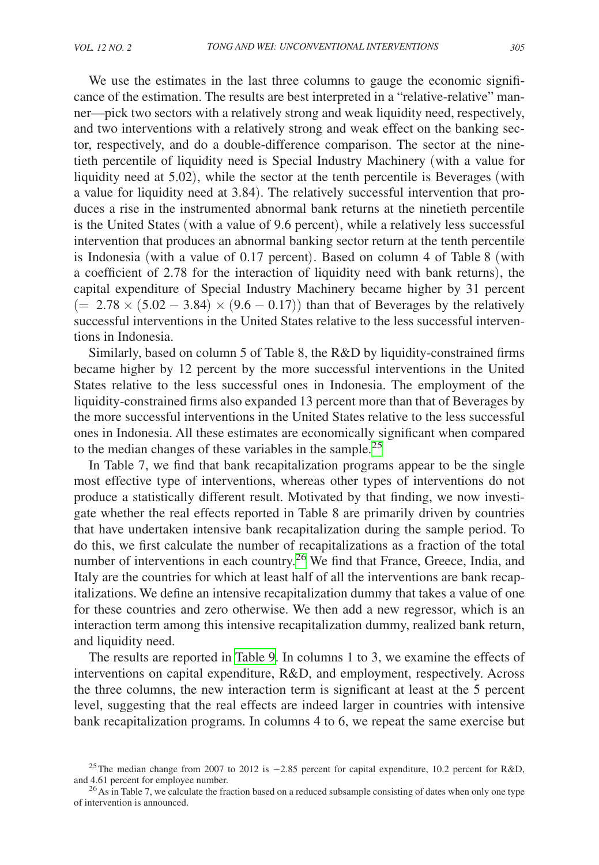We use the estimates in the last three columns to gauge the economic significance of the estimation. The results are best interpreted in a "relative-relative" manner—pick two sectors with a relatively strong and weak liquidity need, respectively, and two interventions with a relatively strong and weak effect on the banking sector, respectively, and do a double-difference comparison. The sector at the ninetieth percentile of liquidity need is Special Industry Machinery (with a value for liquidity need at 5.02), while the sector at the tenth percentile is Beverages (with a value for liquidity need at 3.84). The relatively successful intervention that produces a rise in the instrumented abnormal bank returns at the ninetieth percentile is the United States (with a value of 9.6 percent), while a relatively less successful intervention that produces an abnormal banking sector return at the tenth percentile is Indonesia (with a value of 0.17 percent). Based on column 4 of Table 8 (with a coefficient of 2.78 for the interaction of liquidity need with bank returns), the capital expenditure of Special Industry Machinery became higher by 31 percent  $(= 2.78 \times (5.02 - 3.84) \times (9.6 - 0.17))$  than that of Beverages by the relatively successful interventions in the United States relative to the less successful interventions in Indonesia.

Similarly, based on column 5 of Table 8, the R&D by liquidity-constrained firms became higher by 12 percent by the more successful interventions in the United States relative to the less successful ones in Indonesia. The employment of the liquidity-constrained firms also expanded 13 percent more than that of Beverages by the more successful interventions in the United States relative to the less successful ones in Indonesia. All these estimates are economically significant when compared to the median changes of these variables in the sample.[25](#page-21-0)

In Table 7, we find that bank recapitalization programs appear to be the single most effective type of interventions, whereas other types of interventions do not produce a statistically different result. Motivated by that finding, we now investigate whether the real effects reported in Table 8 are primarily driven by countries that have undertaken intensive bank recapitalization during the sample period. To do this, we first calculate the number of recapitalizations as a fraction of the total number of interventions in each country.<sup>26</sup> We find that France, Greece, India, and Italy are the countries for which at least half of all the interventions are bank recapitalizations. We define an intensive recapitalization dummy that takes a value of one for these countries and zero otherwise. We then add a new regressor, which is an interaction term among this intensive recapitalization dummy, realized bank return, and liquidity need.

The results are reported in [Table 9.](#page-22-0) In columns 1 to 3, we examine the effects of interventions on capital expenditure, R&D, and employment, respectively. Across the three columns, the new interaction term is significant at least at the 5 percent level, suggesting that the real effects are indeed larger in countries with intensive bank recapitalization programs. In columns 4 to 6, we repeat the same exercise but

<span id="page-21-0"></span><sup>&</sup>lt;sup>25</sup>The median change from 2007 to 2012 is  $-2.85$  percent for capital expenditure, 10.2 percent for R&D, and 4.61 percent for employee number.

<span id="page-21-1"></span> $^{26}$ As in Table 7, we calculate the fraction based on a reduced subsample consisting of dates when only one type of intervention is announced.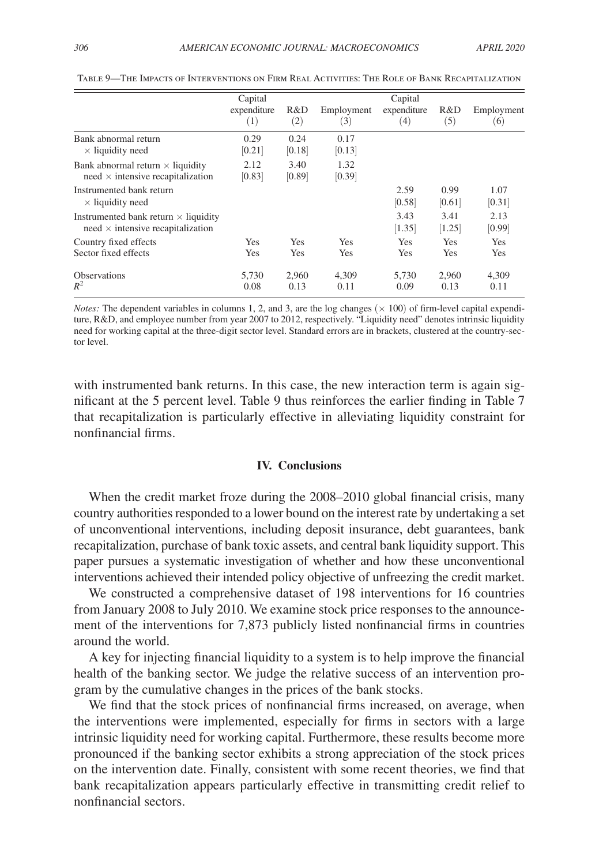|                                             | Capital     |            | Capital    |             |        |            |
|---------------------------------------------|-------------|------------|------------|-------------|--------|------------|
|                                             | expenditure | R&D        | Employment | expenditure | R&D    | Employment |
|                                             | (1)         | (2)        | (3)        | (4)         | (5)    | (6)        |
| Bank abnormal return                        | 0.29        | 0.24       | 0.17       |             |        |            |
| $\times$ liquidity need                     | [0.21]      | [0.18]     | [0.13]     |             |        |            |
| Bank abnormal return $\times$ liquidity     | 2.12        | 3.40       | 1.32       |             |        |            |
| $need \times$ intensive recapitalization    | [0.83]      | [0.89]     | [0.39]     |             |        |            |
| Instrumented bank return                    |             |            |            | 2.59        | 0.99   | 1.07       |
| $\times$ liquidity need                     |             |            |            | [0.58]      | [0.61] | [0.31]     |
| Instrumented bank return $\times$ liquidity |             |            |            | 3.43        | 3.41   | 2.13       |
| $need \times$ intensive recapitalization    |             |            |            | [1.35]      | [1.25] | [0.99]     |
| Country fixed effects                       | Yes         | <b>Yes</b> | <b>Yes</b> | Yes         | Yes    | Yes        |
| Sector fixed effects                        | Yes         | Yes        | Yes        | Yes         | Yes    | Yes        |
| <b>Observations</b>                         | 5.730       | 2.960      | 4.309      | 5.730       | 2.960  | 4,309      |
| $R^2$                                       | 0.08        | 0.13       | 0.11       | 0.09        | 0.13   | 0.11       |

<span id="page-22-0"></span>Table 9—The Impacts of Interventions on Firm Real Activities: The Role of Bank Recapitalization

*Notes:* The dependent variables in columns 1, 2, and 3, are the log changes  $(\times 100)$  of firm-level capital expenditure, R&D, and employee number from year 2007 to 2012, respectively. "Liquidity need" denotes intrinsic liquidity need for working capital at the three-digit sector level. Standard errors are in brackets, clustered at the country-sector level.

with instrumented bank returns. In this case, the new interaction term is again significant at the 5 percent level. Table 9 thus reinforces the earlier finding in Table 7 that recapitalization is particularly effective in alleviating liquidity constraint for nonfinancial firms.

#### **IV. Conclusions**

When the credit market froze during the 2008–2010 global financial crisis, many country authorities responded to a lower bound on the interest rate by undertaking a set of unconventional interventions, including deposit insurance, debt guarantees, bank recapitalization, purchase of bank toxic assets, and central bank liquidity support. This paper pursues a systematic investigation of whether and how these unconventional interventions achieved their intended policy objective of unfreezing the credit market.

We constructed a comprehensive dataset of 198 interventions for 16 countries from January 2008 to July 2010. We examine stock price responses to the announcement of the interventions for 7,873 publicly listed nonfinancial firms in countries around the world.

A key for injecting financial liquidity to a system is to help improve the financial health of the banking sector. We judge the relative success of an intervention program by the cumulative changes in the prices of the bank stocks.

We find that the stock prices of nonfinancial firms increased, on average, when the interventions were implemented, especially for firms in sectors with a large intrinsic liquidity need for working capital. Furthermore, these results become more pronounced if the banking sector exhibits a strong appreciation of the stock prices on the intervention date. Finally, consistent with some recent theories, we find that bank recapitalization appears particularly effective in transmitting credit relief to nonfinancial sectors.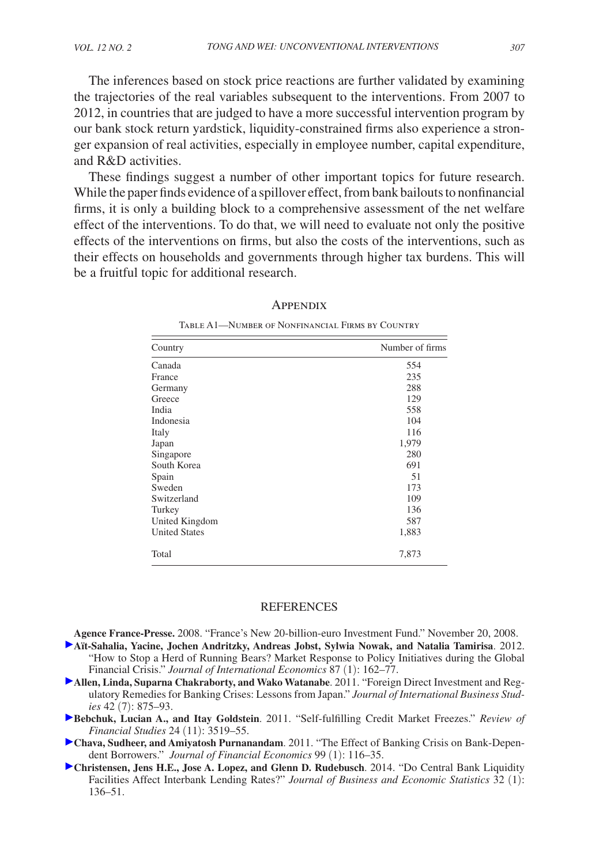<span id="page-23-0"></span>The inferences based on stock price reactions are further validated by examining the trajectories of the real variables subsequent to the interventions. From 2007 to 2012, in countries that are judged to have a more successful intervention program by our bank stock return yardstick, liquidity-constrained firms also experience a stronger expansion of real activities, especially in employee number, capital expenditure, and R&D activities.

These findings suggest a number of other important topics for future research. While the paper finds evidence of a spillover effect, from bank bailouts to nonfinancial firms, it is only a building block to a comprehensive assessment of the net welfare effect of the interventions. To do that, we will need to evaluate not only the positive effects of the interventions on firms, but also the costs of the interventions, such as their effects on households and governments through higher tax burdens. This will be a fruitful topic for additional research.

| Country              | Number of firms |  |  |
|----------------------|-----------------|--|--|
| Canada               | 554             |  |  |
| France               | 235             |  |  |
| Germany              | 288             |  |  |
| Greece               | 129             |  |  |
| India                | 558             |  |  |
| Indonesia            | 104             |  |  |
| Italy                | 116             |  |  |
| Japan                | 1,979           |  |  |
| Singapore            | 280             |  |  |
| South Korea          | 691             |  |  |
| Spain                | 51              |  |  |
| Sweden               | 173             |  |  |
| Switzerland          | 109             |  |  |
| Turkey               | 136             |  |  |
| United Kingdom       | 587             |  |  |
| <b>United States</b> | 1,883           |  |  |
| Total                | 7,873           |  |  |

#### **APPENDIX**

Table A1—Number of Nonfinancial Firms by Country

#### **REFERENCES**

**Agence France-Presse.** 2008. "France's New 20-billion-euro Investment Fund." November 20, 2008.

- **Aït-Sahalia, Yacine, Jochen Andritzky, Andreas Jobst, Sylwia Nowak, and Natalia Tamirisa**. 2012. "How to Stop a Herd of Running Bears? Market Response to Policy Initiatives during the Global Financial Crisis." *Journal of International Economics* 87 (1): 162–77.
- **Allen, Linda, Suparna Chakraborty, and Wako Watanabe**. 2011. "Foreign Direct Investment and Regulatory Remedies for Banking Crises: Lessons from Japan." *Journal of International Business Studies* 42 (7): 875–93.
- **Bebchuk, Lucian A., and Itay Goldstein**. 2011. "Self-fulfilling Credit Market Freezes." *Review of Financial Studies* 24 (11): 3519–55.
- **Chava, Sudheer, and Amiyatosh Purnanandam**. 2011. "The Effect of Banking Crisis on Bank-Dependent Borrowers." *Journal of Financial Economics* 99 (1): 116–35.
- **Christensen, Jens H.E., Jose A. Lopez, and Glenn D. Rudebusch**. 2014. "Do Central Bank Liquidity Facilities Affect Interbank Lending Rates?" *Journal of Business and Economic Statistics* 32 (1): 136–51.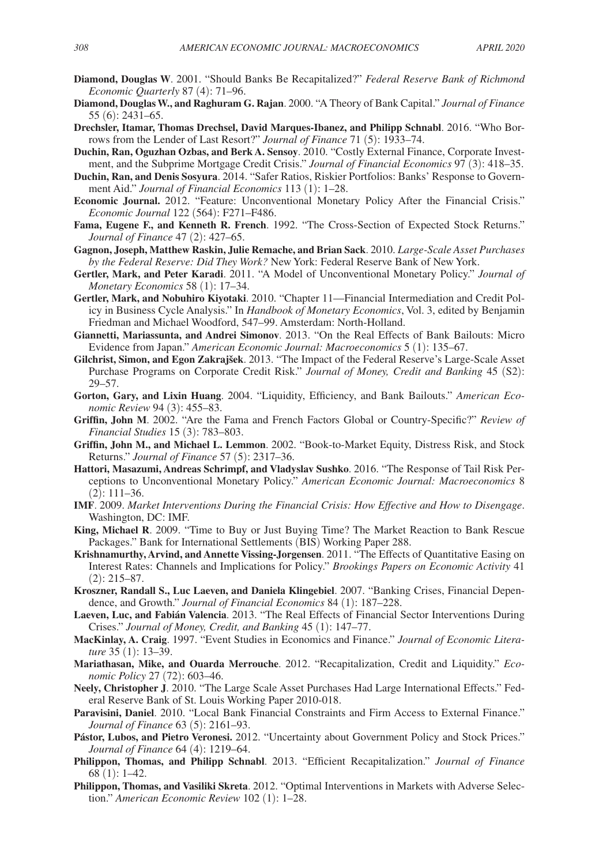- **Diamond, Douglas W**. 2001. "Should Banks Be Recapitalized?" *Federal Reserve Bank of Richmond Economic Quarterly* 87 (4): 71–96.
- **Diamond, Douglas W., and Raghuram G. Rajan**. 2000. "A Theory of Bank Capital." *Journal of Finance* 55 (6): 2431–65.
- **Drechsler, Itamar, Thomas Drechsel, David Marques-Ibanez, and Philipp Schnabl**. 2016. "Who Borrows from the Lender of Last Resort?" *Journal of Finance* 71 (5): 1933–74.
- **Duchin, Ran, Oguzhan Ozbas, and Berk A. Sensoy**. 2010. "Costly External Finance, Corporate Investment, and the Subprime Mortgage Credit Crisis." *Journal of Financial Economics* 97 (3): 418–35.
- **Duchin, Ran, and Denis Sosyura**. 2014. "Safer Ratios, Riskier Portfolios: Banks' Response to Government Aid." *Journal of Financial Economics* 113 (1): 1–28.
- **Economic Journal.** 2012. "Feature: Unconventional Monetary Policy After the Financial Crisis." *Economic Journal* 122 (564): F271–F486.
- **Fama, Eugene F., and Kenneth R. French**. 1992. "The Cross-Section of Expected Stock Returns." *Journal of Finance* 47 (2): 427–65.
- **Gagnon, Joseph, Matthew Raskin, Julie Remache, and Brian Sack**. 2010. *Large-Scale Asset Purchases by the Federal Reserve: Did They Work?* New York: Federal Reserve Bank of New York.
- **Gertler, Mark, and Peter Karadi**. 2011. "A Model of Unconventional Monetary Policy." *Journal of Monetary Economics* 58 (1): 17–34.
- **Gertler, Mark, and Nobuhiro Kiyotaki**. 2010. "Chapter 11—Financial Intermediation and Credit Policy in Business Cycle Analysis." In *Handbook of Monetary Economics*, Vol. 3, edited by Benjamin Friedman and Michael Woodford, 547–99. Amsterdam: North-Holland.
- **Giannetti, Mariassunta, and Andrei Simonov**. 2013. "On the Real Effects of Bank Bailouts: Micro Evidence from Japan." *American Economic Journal: Macroeconomics* 5 (1): 135–67.
- **Gilchrist, Simon, and Egon Zakrajšek**. 2013. "The Impact of the Federal Reserve's Large-Scale Asset Purchase Programs on Corporate Credit Risk." *Journal of Money, Credit and Banking* 45 (S2): 29–57.
- **Gorton, Gary, and Lixin Huang**. 2004. "Liquidity, Efficiency, and Bank Bailouts." *American Economic Review* 94 (3): 455–83.
- **Griffin, John M**. 2002. "Are the Fama and French Factors Global or Country-Specific?" *Review of Financial Studies* 15 (3): 783–803.
- **Griffin, John M., and Michael L. Lemmon**. 2002. "Book-to-Market Equity, Distress Risk, and Stock Returns." *Journal of Finance* 57 (5): 2317–36.
- **Hattori, Masazumi, Andreas Schrimpf, and Vladyslav Sushko**. 2016. "The Response of Tail Risk Perceptions to Unconventional Monetary Policy." *American Economic Journal: Macroeconomics* 8 (2): 111–36.
- **IMF**. 2009. *Market Interventions During the Financial Crisis: How Effective and How to Disengage*. Washington, DC: IMF.
- **King, Michael R**. 2009. "Time to Buy or Just Buying Time? The Market Reaction to Bank Rescue Packages." Bank for International Settlements (BIS) Working Paper 288.
- **Krishnamurthy, Arvind, and Annette Vissing-Jorgensen**. 2011. "The Effects of Quantitative Easing on Interest Rates: Channels and Implications for Policy." *Brookings Papers on Economic Activity* 41 (2): 215–87.
- **Kroszner, Randall S., Luc Laeven, and Daniela Klingebiel**. 2007. "Banking Crises, Financial Dependence, and Growth." *Journal of Financial Economics* 84 (1): 187–228.
- **Laeven, Luc, and Fabián Valencia**. 2013. "The Real Effects of Financial Sector Interventions During Crises." *Journal of Money, Credit, and Banking* 45 (1): 147–77.
- **MacKinlay, A. Craig**. 1997. "Event Studies in Economics and Finance." *Journal of Economic Literature* 35 (1): 13–39.
- **Mariathasan, Mike, and Ouarda Merrouche**. 2012. "Recapitalization, Credit and Liquidity." *Economic Policy* 27 (72): 603–46.
- **Neely, Christopher J**. 2010. "The Large Scale Asset Purchases Had Large International Effects." Federal Reserve Bank of St. Louis Working Paper 2010-018.
- **Paravisini, Daniel**. 2010. "Local Bank Financial Constraints and Firm Access to External Finance." *Journal of Finance* 63 (5): 2161–93.
- **Pástor, Lubos, and Pietro Veronesi.** 2012. "Uncertainty about Government Policy and Stock Prices." *Journal of Finance* 64 (4): 1219–64.
- **Philippon, Thomas, and Philipp Schnabl**. 2013. "Efficient Recapitalization." *Journal of Finance* 68 (1): 1–42.
- **Philippon, Thomas, and Vasiliki Skreta**. 2012. "Optimal Interventions in Markets with Adverse Selection." *American Economic Review* 102 (1): 1–28.